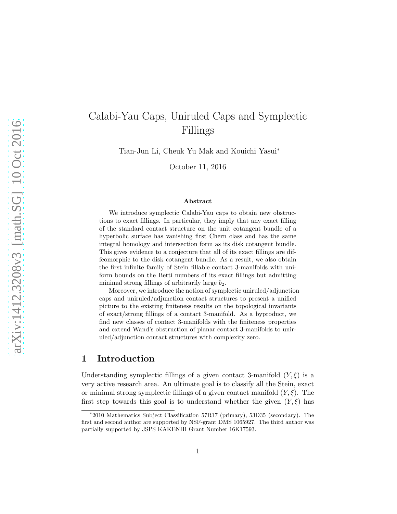# Calabi-Yau Caps, Uniruled Caps and Symplectic Fillings

Tian-Jun Li, Cheuk Yu Mak and Kouichi Yasui<sup>∗</sup>

October 11, 2016

#### Abstract

We introduce symplectic Calabi-Yau caps to obtain new obstructions to exact fillings. In particular, they imply that any exact filling of the standard contact structure on the unit cotangent bundle of a hyperbolic surface has vanishing first Chern class and has the same integral homology and intersection form as its disk cotangent bundle. This gives evidence to a conjecture that all of its exact fillings are diffeomorphic to the disk cotangent bundle. As a result, we also obtain the first infinite family of Stein fillable contact 3-manifolds with uniform bounds on the Betti numbers of its exact fillings but admitting minimal strong fillings of arbitrarily large  $b_2$ .

Moreover, we introduce the notion of symplectic uniruled/adjunction caps and uniruled/adjunction contact structures to present a unified picture to the existing finiteness results on the topological invariants of exact/strong fillings of a contact 3-manifold. As a byproduct, we find new classes of contact 3-manifolds with the finiteness properties and extend Wand's obstruction of planar contact 3-manifolds to uniruled/adjunction contact structures with complexity zero.

# 1 Introduction

Understanding symplectic fillings of a given contact 3-manifold  $(Y, \xi)$  is a very active research area. An ultimate goal is to classify all the Stein, exact or minimal strong symplectic fillings of a given contact manifold  $(Y, \xi)$ . The first step towards this goal is to understand whether the given  $(Y,\xi)$  has

<sup>∗</sup> 2010 Mathematics Subject Classification 57R17 (primary), 53D35 (secondary). The first and second author are supported by NSF-grant DMS 1065927. The third author was partially supported by JSPS KAKENHI Grant Number 16K17593.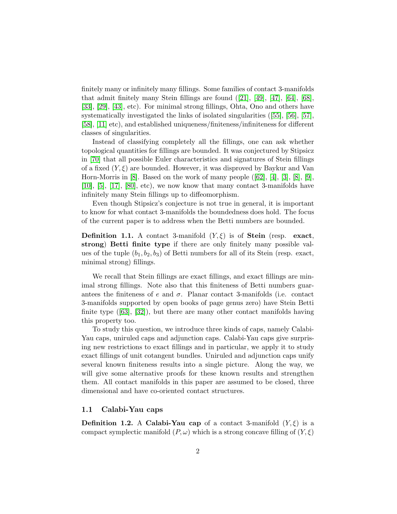finitely many or infinitely many fillings. Some families of contact 3-manifolds thatadmit finitely many Stein fillings are found  $([21], [49], [47], [64], [68],$  $([21], [49], [47], [64], [68],$  $([21], [49], [47], [64], [68],$  $([21], [49], [47], [64], [68],$  $([21], [49], [47], [64], [68],$  $([21], [49], [47], [64], [68],$  $([21], [49], [47], [64], [68],$  $([21], [49], [47], [64], [68],$  $([21], [49], [47], [64], [68],$  $([21], [49], [47], [64], [68],$  $([21], [49], [47], [64], [68],$ [\[33\]](#page-40-0), [\[29\]](#page-40-1), [\[43\]](#page-41-2), etc). For minimal strong fillings, Ohta, Ono and others have systematically investigated the links of isolated singularities([\[55\]](#page-41-3), [\[56\]](#page-41-4), [\[57\]](#page-42-2), [\[58\]](#page-42-3), [\[11\]](#page-38-0) etc), and established uniqueness/finiteness/infiniteness for different classes of singularities.

Instead of classifying completely all the fillings, one can ask whether topological quantities for fillings are bounded. It was conjectured by Stipsicz in [\[70\]](#page-42-4) that all possible Euler characteristics and signatures of Stein fillings of a fixed  $(Y, \xi)$  are bounded. However, it was disproved by Baykur and Van Horn-Morris in [\[8\]](#page-38-1).Based on the work of many people  $([62], [4], [3], [8], [9]$  $([62], [4], [3], [8], [9]$  $([62], [4], [3], [8], [9]$  $([62], [4], [3], [8], [9]$  $([62], [4], [3], [8], [9]$  $([62], [4], [3], [8], [9]$  $([62], [4], [3], [8], [9]$  $([62], [4], [3], [8], [9]$ , [\[10\]](#page-38-5), [\[5\]](#page-38-6), [\[17\]](#page-39-1), [\[80\]](#page-43-0), etc), we now know that many contact 3-manifolds have infinitely many Stein fillings up to diffeomorphism.

Even though Stipsicz's conjecture is not true in general, it is important to know for what contact 3-manifolds the boundedness does hold. The focus of the current paper is to address when the Betti numbers are bounded.

**Definition 1.1.** A contact 3-manifold  $(Y, \xi)$  is of **Stein** (resp. exact, strong) Betti finite type if there are only finitely many possible values of the tuple  $(b_1, b_2, b_3)$  of Betti numbers for all of its Stein (resp. exact, minimal strong) fillings.

We recall that Stein fillings are exact fillings, and exact fillings are minimal strong fillings. Note also that this finiteness of Betti numbers guarantees the finiteness of e and  $\sigma$ . Planar contact 3-manifolds (i.e. contact 3-manifolds supported by open books of page genus zero) have Stein Betti finitetype  $([63], [32])$  $([63], [32])$  $([63], [32])$  $([63], [32])$  $([63], [32])$ , but there are many other contact manifolds having this property too.

To study this question, we introduce three kinds of caps, namely Calabi-Yau caps, uniruled caps and adjunction caps. Calabi-Yau caps give surprising new restrictions to exact fillings and in particular, we apply it to study exact fillings of unit cotangent bundles. Uniruled and adjunction caps unify several known finiteness results into a single picture. Along the way, we will give some alternative proofs for these known results and strengthen them. All contact manifolds in this paper are assumed to be closed, three dimensional and have co-oriented contact structures.

### 1.1 Calabi-Yau caps

**Definition 1.2.** A Calabi-Yau cap of a contact 3-manifold  $(Y,\xi)$  is a compact symplectic manifold  $(P, \omega)$  which is a strong concave filling of  $(Y, \xi)$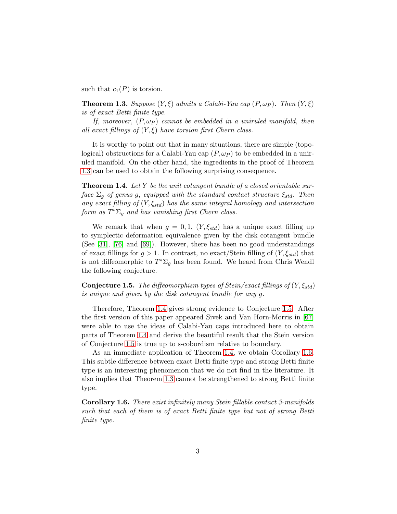such that  $c_1(P)$  is torsion.

<span id="page-2-0"></span>**Theorem 1.3.** Suppose  $(Y, \xi)$  admits a Calabi-Yau cap  $(P, \omega_P)$ . Then  $(Y, \xi)$ is of exact Betti finite type.

If, moreover,  $(P, \omega_P)$  cannot be embedded in a uniruled manifold, then all exact fillings of  $(Y, \xi)$  have torsion first Chern class.

It is worthy to point out that in many situations, there are simple (topological) obstructions for a Calabi-Yau cap  $(P, \omega_P)$  to be embedded in a uniruled manifold. On the other hand, the ingredients in the proof of Theorem [1.3](#page-2-0) can be used to obtain the following surprising consequence.

<span id="page-2-1"></span>**Theorem 1.4.** Let Y be the unit cotangent bundle of a closed orientable surface  $\Sigma_q$  of genus g, equipped with the standard contact structure  $\xi_{std}$ . Then any exact filling of  $(Y, \xi_{std})$  has the same integral homology and intersection form as  $T^*\Sigma_g$  and has vanishing first Chern class.

We remark that when  $g = 0, 1, (Y, \xi_{std})$  has a unique exact filling up to symplectic deformation equivalence given by the disk cotangent bundle (See [\[31\]](#page-40-3), [\[76\]](#page-43-1) and [\[69\]](#page-42-7)). However, there has been no good understandings of exact fillings for  $g > 1$ . In contrast, no exact/Stein filling of  $(Y, \xi_{std})$  that is not diffeomorphic to  $T^*\Sigma_g$  has been found. We heard from Chris Wendl the following conjecture.

<span id="page-2-2"></span>**Conjecture 1.5.** The diffeomorphism types of Stein/exact fillings of  $(Y, \xi_{std})$ is unique and given by the disk cotangent bundle for any g.

Therefore, Theorem [1.4](#page-2-1) gives strong evidence to Conjecture [1.5.](#page-2-2) After the first version of this paper appeared Sivek and Van Horn-Morris in [\[67\]](#page-42-8) were able to use the ideas of Calabi-Yau caps introduced here to obtain parts of Theorem [1.4](#page-2-1) and derive the beautiful result that the Stein version of Conjecture [1.5](#page-2-2) is true up to s-cobordism relative to boundary.

As an immediate application of Theorem [1.4,](#page-2-1) we obtain Corollary [1.6.](#page-2-3) This subtle difference between exact Betti finite type and strong Betti finite type is an interesting phenomenon that we do not find in the literature. It also implies that Theorem [1.3](#page-2-0) cannot be strengthened to strong Betti finite type.

<span id="page-2-3"></span>Corollary 1.6. There exist infinitely many Stein fillable contact 3-manifolds such that each of them is of exact Betti finite type but not of strong Betti finite type.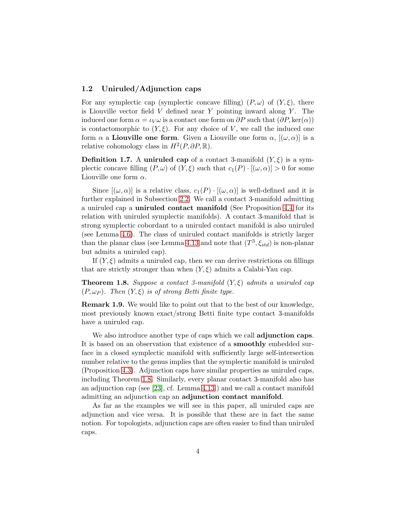## 1.2 Uniruled/Adjunction caps

For any symplectic cap (symplectic concave filling)  $(P, \omega)$  of  $(Y, \xi)$ , there is Liouville vector field  $V$  defined near  $Y$  pointing inward along  $Y$ . The induced one form  $\alpha = \iota_V \omega$  is a contact one form on  $\partial P$  such that  $(\partial P, \ker(\alpha))$ is contactomorphic to  $(Y, \xi)$ . For any choice of V, we call the induced one form  $\alpha$  a **Liouville one form**. Given a Liouville one form  $\alpha$ ,  $[(\omega, \alpha)]$  is a relative cohomology class in  $H^2(P, \partial P, \mathbb{R})$ .

**Definition 1.7.** A uniruled cap of a contact 3-manifold  $(Y, \xi)$  is a symplectic concave filling  $(P, \omega)$  of  $(Y, \xi)$  such that  $c_1(P) \cdot [(\omega, \alpha)] > 0$  for some Liouville one form  $\alpha$ .

Since  $[(\omega,\alpha)]$  is a relative class,  $c_1(P) \cdot [(\omega,\alpha)]$  is well-defined and it is further explained in Subsection [2.2.](#page-7-0) We call a contact 3-manifold admitting a uniruled cap a uniruled contact manifold (See Proposition [4.4](#page-26-0) for its relation with uniruled symplectic manifolds). A contact 3-manifold that is strong symplectic cobordant to a uniruled contact manifold is also uniruled (see Lemma [4.6\)](#page-27-0). The class of uniruled contact manifolds is strictly larger than the planar class (see Lemma [4.13](#page-30-0) and note that  $(T^3, \xi_{std})$  is non-planar but admits a uniruled cap).

If  $(Y, \xi)$  admits a uniruled cap, then we can derive restrictions on fillings that are strictly stronger than when  $(Y, \xi)$  admits a Calabi-Yau cap.

<span id="page-3-0"></span>**Theorem 1.8.** Suppose a contact 3-manifold  $(Y, \xi)$  admits a uniruled cap  $(P, \omega_P)$ . Then  $(Y, \xi)$  is of strong Betti finite type.

Remark 1.9. We would like to point out that to the best of our knowledge, most previously known exact/strong Betti finite type contact 3-manifolds have a uniruled cap.

We also introduce another type of caps which we call **adjunction caps**. It is based on an observation that existence of a smoothly embedded surface in a closed symplectic manifold with sufficiently large self-intersection number relative to the genus implies that the symplectic manifold is uniruled (Proposition [4.3\)](#page-25-0). Adjunction caps have similar properties as uniruled caps, including Theorem [1.8.](#page-3-0) Similarly, every planar contact 3-manifold also has an adjunction cap (see [\[23\]](#page-39-2), cf. Lemma [4.13](#page-30-0) ) and we call a contact manifold admitting an adjunction cap an adjunction contact manifold.

As far as the examples we will see in this paper, all uniruled caps are adjunction and vice versa. It is possible that these are in fact the same notion. For topologists, adjunction caps are often easier to find than uniruled caps.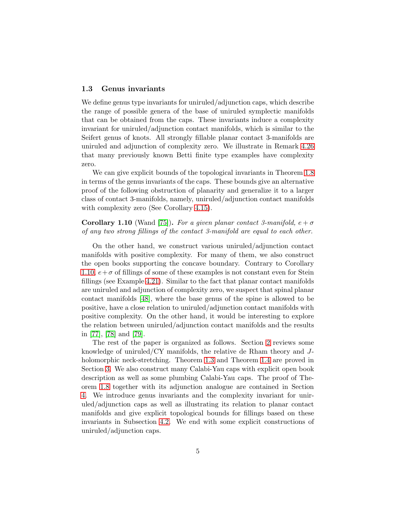## 1.3 Genus invariants

We define genus type invariants for uniruled/adjunction caps, which describe the range of possible genera of the base of uniruled symplectic manifolds that can be obtained from the caps. These invariants induce a complexity invariant for uniruled/adjunction contact manifolds, which is similar to the Seifert genus of knots. All strongly fillable planar contact 3-manifolds are uniruled and adjunction of complexity zero. We illustrate in Remark [4.26](#page-36-0) that many previously known Betti finite type examples have complexity zero.

We can give explicit bounds of the topological invariants in Theorem [1.8](#page-3-0) in terms of the genus invariants of the caps. These bounds give an alternative proof of the following obstruction of planarity and generalize it to a larger class of contact 3-manifolds, namely, uniruled/adjunction contact manifolds with complexity zero (See Corollary [4.15\)](#page-31-0).

# <span id="page-4-0"></span>**Corollary 1.10** (Wand [\[75\]](#page-43-2)). For a given planar contact 3-manifold,  $e + \sigma$ of any two strong fillings of the contact 3-manifold are equal to each other.

On the other hand, we construct various uniruled/adjunction contact manifolds with positive complexity. For many of them, we also construct the open books supporting the concave boundary. Contrary to Corollary [1.10,](#page-4-0)  $e+\sigma$  of fillings of some of these examples is not constant even for Stein fillings (see Example [4.21\)](#page-33-0). Similar to the fact that planar contact manifolds are uniruled and adjunction of complexity zero, we suspect that spinal planar contact manifolds [\[48\]](#page-41-5), where the base genus of the spine is allowed to be positive, have a close relation to uniruled/adjunction contact manifolds with positive complexity. On the other hand, it would be interesting to explore the relation between uniruled/adjunction contact manifolds and the results in [\[77\]](#page-43-3), [\[78\]](#page-43-4) and [\[79\]](#page-43-5).

The rest of the paper is organized as follows. Section [2](#page-5-0) reviews some knowledge of uniruled/CY manifolds, the relative de Rham theory and Jholomorphic neck-stretching. Theorem [1.3](#page-2-0) and Theorem [1.4](#page-2-1) are proved in Section [3.](#page-14-0) We also construct many Calabi-Yau caps with explicit open book description as well as some plumbing Calabi-Yau caps. The proof of Theorem [1.8](#page-3-0) together with its adjunction analogue are contained in Section [4.](#page-25-1) We introduce genus invariants and the complexity invariant for uniruled/adjunction caps as well as illustrating its relation to planar contact manifolds and give explicit topological bounds for fillings based on these invariants in Subsection [4.2.](#page-28-0) We end with some explicit constructions of uniruled/adjunction caps.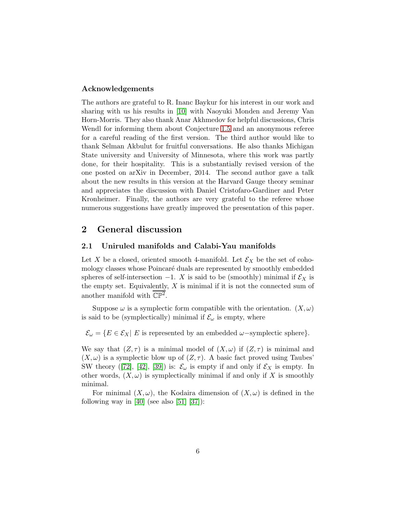#### Acknowledgements

The authors are grateful to R. Inanc Baykur for his interest in our work and sharing with us his results in [\[10\]](#page-38-5) with Naoyuki Monden and Jeremy Van Horn-Morris. They also thank Anar Akhmedov for helpful discussions, Chris Wendl for informing them about Conjecture [1.5](#page-2-2) and an anonymous referee for a careful reading of the first version. The third author would like to thank Selman Akbulut for fruitful conversations. He also thanks Michigan State university and University of Minnesota, where this work was partly done, for their hospitality. This is a substantially revised version of the one posted on arXiv in December, 2014. The second author gave a talk about the new results in this version at the Harvard Gauge theory seminar and appreciates the discussion with Daniel Cristofaro-Gardiner and Peter Kronheimer. Finally, the authors are very grateful to the referee whose numerous suggestions have greatly improved the presentation of this paper.

# <span id="page-5-0"></span>2 General discussion

#### 2.1 Uniruled manifolds and Calabi-Yau manifolds

Let X be a closed, oriented smooth 4-manifold. Let  $\mathcal{E}_X$  be the set of cohomology classes whose Poincaré duals are represented by smoothly embedded spheres of self-intersection  $-1$ . X is said to be (smoothly) minimal if  $\mathcal{E}_X$  is the empty set. Equivalently,  $X$  is minimal if it is not the connected sum of another manifold with  $\mathbb{CP}^2$ .

Suppose  $\omega$  is a symplectic form compatible with the orientation.  $(X, \omega)$ is said to be (symplectically) minimal if  $\mathcal{E}_{\omega}$  is empty, where

 $\mathcal{E}_{\omega} = \{ E \in \mathcal{E}_X | E$  is represented by an embedded  $\omega$ -symplectic sphere}.

We say that  $(Z, \tau)$  is a minimal model of  $(X, \omega)$  if  $(Z, \tau)$  is minimal and  $(X, \omega)$  is a symplectic blow up of  $(Z, \tau)$ . A basic fact proved using Taubes' SWtheory ([\[72\]](#page-43-6), [\[42\]](#page-40-4), [\[39\]](#page-40-5)) is:  $\mathcal{E}_{\omega}$  is empty if and only if  $\mathcal{E}_X$  is empty. In other words,  $(X, \omega)$  is symplectically minimal if and only if X is smoothly minimal.

For minimal  $(X, \omega)$ , the Kodaira dimension of  $(X, \omega)$  is defined in the following way in  $[40]$  (see also  $[51]$   $[37]$ ):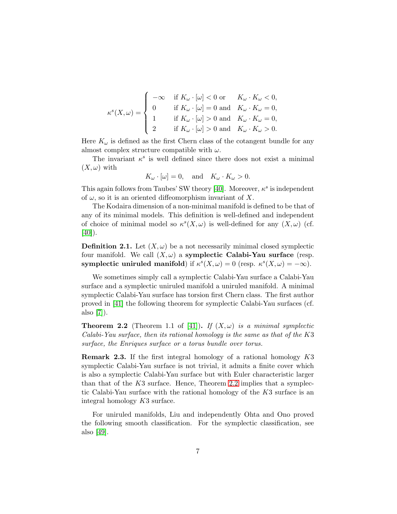$$
\kappa^s(X,\omega) = \begin{cases}\n-\infty & \text{if } K_{\omega} \cdot [\omega] < 0 \text{ or } & K_{\omega} \cdot K_{\omega} < 0, \\
0 & \text{if } K_{\omega} \cdot [\omega] = 0 \text{ and } & K_{\omega} \cdot K_{\omega} = 0, \\
1 & \text{if } K_{\omega} \cdot [\omega] > 0 \text{ and } & K_{\omega} \cdot K_{\omega} = 0, \\
2 & \text{if } K_{\omega} \cdot [\omega] > 0 \text{ and } & K_{\omega} \cdot K_{\omega} > 0.\n\end{cases}
$$

Here  $K_{\omega}$  is defined as the first Chern class of the cotangent bundle for any almost complex structure compatible with  $\omega$ .

The invariant  $\kappa^s$  is well defined since there does not exist a minimal  $(X,\omega)$  with

$$
K_{\omega} \cdot [\omega] = 0
$$
, and  $K_{\omega} \cdot K_{\omega} > 0$ .

This again follows from Taubes' SW theory [\[40\]](#page-40-6). Moreover,  $\kappa^s$  is independent of  $\omega$ , so it is an oriented diffeomorphism invariant of X.

The Kodaira dimension of a non-minimal manifold is defined to be that of any of its minimal models. This definition is well-defined and independent of choice of minimal model so  $\kappa^{s}(X,\omega)$  is well-defined for any  $(X,\omega)$  (cf.  $[40]$ ).

**Definition 2.1.** Let  $(X, \omega)$  be a not necessarily minimal closed symplectic four manifold. We call  $(X, \omega)$  a symplectic Calabi-Yau surface (resp. symplectic uniruled manifold) if  $\kappa^{s}(X,\omega) = 0$  (resp.  $\kappa^{s}(X,\omega) = -\infty$ ).

We sometimes simply call a symplectic Calabi-Yau surface a Calabi-Yau surface and a symplectic uniruled manifold a uniruled manifold. A minimal symplectic Calabi-Yau surface has torsion first Chern class. The first author proved in [\[41\]](#page-40-8) the following theorem for symplectic Calabi-Yau surfaces (cf. also [\[7\]](#page-38-7)).

<span id="page-6-0"></span>**Theorem 2.2** (Theorem 1.1 of [\[41\]](#page-40-8)). If  $(X, \omega)$  is a minimal symplectic Calabi-Yau surface, then its rational homology is the same as that of the K3 surface, the Enriques surface or a torus bundle over torus.

<span id="page-6-1"></span>Remark 2.3. If the first integral homology of a rational homology K3 symplectic Calabi-Yau surface is not trivial, it admits a finite cover which is also a symplectic Calabi-Yau surface but with Euler characteristic larger than that of the  $K3$  surface. Hence, Theorem [2.2](#page-6-0) implies that a symplectic Calabi-Yau surface with the rational homology of the K3 surface is an integral homology K3 surface.

For uniruled manifolds, Liu and independently Ohta and Ono proved the following smooth classification. For the symplectic classification, see also [\[49\]](#page-41-0).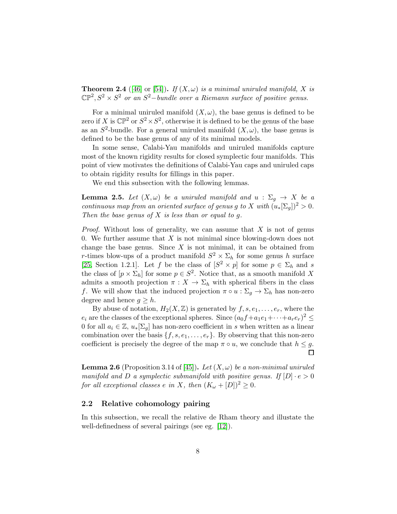**Theorem 2.4** ([\[46\]](#page-41-7) or [\[54\]](#page-41-8)). If  $(X, \omega)$  is a minimal uniruled manifold, X is  $\mathbb{CP}^2$ ,  $S^2 \times S^2$  or an  $S^2$ -bundle over a Riemann surface of positive genus.

For a minimal uniruled manifold  $(X, \omega)$ , the base genus is defined to be zero if X is  $\mathbb{CP}^2$  or  $S^2 \times S^2$ , otherwise it is defined to be the genus of the base as an  $S^2$ -bundle. For a general uniruled manifold  $(X, \omega)$ , the base genus is defined to be the base genus of any of its minimal models.

In some sense, Calabi-Yau manifolds and uniruled manifolds capture most of the known rigidity results for closed symplectic four manifolds. This point of view motivates the definitions of Calabi-Yau caps and uniruled caps to obtain rigidity results for fillings in this paper.

We end this subsection with the following lemmas.

<span id="page-7-1"></span>**Lemma 2.5.** Let  $(X, \omega)$  be a uniruled manifold and  $u : \Sigma_g \to X$  be a continuous map from an oriented surface of genus g to X with  $(u_*[\Sigma_q])^2 > 0$ . Then the base genus of  $X$  is less than or equal to  $q$ .

*Proof.* Without loss of generality, we can assume that  $X$  is not of genus 0. We further assume that  $X$  is not minimal since blowing-down does not change the base genus. Since  $X$  is not minimal, it can be obtained from r-times blow-ups of a product manifold  $S^2 \times \Sigma_h$  for some genus h surface [\[25,](#page-39-3) Section 1.2.1]. Let f be the class of  $[S^2 \times p]$  for some  $p \in \Sigma_h$  and s the class of  $[p \times \Sigma_h]$  for some  $p \in S^2$ . Notice that, as a smooth manifold X admits a smooth projection  $\pi : X \to \Sigma_h$  with spherical fibers in the class f. We will show that the induced projection  $\pi \circ u : \Sigma_g \to \Sigma_h$  has non-zero degree and hence  $q \geq h$ .

By abuse of notation,  $H_2(X,\mathbb{Z})$  is generated by  $f, s, e_1, \ldots, e_r$ , where the  $e_i$  are the classes of the exceptional spheres. Since  $(a_0f + a_1e_1 + \cdots + a_re_r)^2 \le$ 0 for all  $a_i \in \mathbb{Z}$ ,  $u_*[\Sigma_q]$  has non-zero coefficient in s when written as a linear combination over the basis  $\{f, s, e_1, \ldots, e_r\}$ . By observing that this non-zero coefficient is precisely the degree of the map  $\pi \circ u$ , we conclude that  $h \leq g$ . 口

<span id="page-7-2"></span>**Lemma 2.6** (Proposition 3.14 of [\[45\]](#page-41-9)). Let  $(X, \omega)$  be a non-minimal uniruled manifold and D a symplectic submanifold with positive genus. If  $[D] \cdot e > 0$ for all exceptional classes e in X, then  $(K_\omega+[D])^2\geq 0$ .

# <span id="page-7-0"></span>2.2 Relative cohomology pairing

In this subsection, we recall the relative de Rham theory and illustate the well-definedness of several pairings (see eg. [\[12\]](#page-38-8)).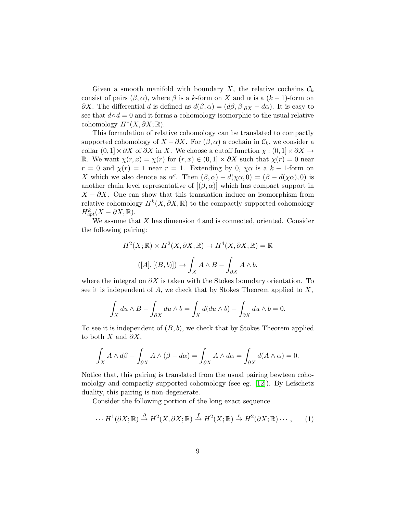Given a smooth manifold with boundary X, the relative cochains  $\mathcal{C}_k$ consist of pairs  $(\beta, \alpha)$ , where  $\beta$  is a k-form on X and  $\alpha$  is a  $(k-1)$ -form on  $\partial X$ . The differential d is defined as  $d(\beta, \alpha) = (d\beta, \beta|_{\partial X} - d\alpha)$ . It is easy to see that  $d \circ d = 0$  and it forms a cohomology isomorphic to the usual relative cohomology  $H^*(X, \partial X; \mathbb{R})$ .

This formulation of relative cohomology can be translated to compactly supported cohomology of  $X - \partial X$ . For  $(\beta, \alpha)$  a cochain in  $\mathcal{C}_k$ , we consider a collar  $(0, 1] \times \partial X$  of  $\partial X$  in X. We choose a cutoff function  $\chi : (0, 1] \times \partial X \to$ R. We want  $\chi(r, x) = \chi(r)$  for  $(r, x) \in (0, 1] \times \partial X$  such that  $\chi(r) = 0$  near  $r = 0$  and  $\chi(r) = 1$  near  $r = 1$ . Extending by 0,  $\chi \alpha$  is a  $k - 1$ -form on X which we also denote as  $\alpha^c$ . Then  $(\beta, \alpha) - d(\chi \alpha, 0) = (\beta - d(\chi \alpha), 0)$  is another chain level representative of  $[(\beta, \alpha)]$  which has compact support in  $X - \partial X$ . One can show that this translation induce an isomorphism from relative cohomology  $H^k(X, \partial X, \mathbb{R})$  to the compactly supported cohomology  $H^k_{cpt}(X - \partial X,\mathbb{R}).$ 

We assume that  $X$  has dimension  $4$  and is connected, oriented. Consider the following pairing:

$$
H^{2}(X; \mathbb{R}) \times H^{2}(X, \partial X; \mathbb{R}) \to H^{4}(X, \partial X; \mathbb{R}) = \mathbb{R}
$$

$$
([A], [(B, b)]) \to \int_{X} A \wedge B - \int_{\partial X} A \wedge b,
$$

where the integral on  $\partial X$  is taken with the Stokes boundary orientation. To see it is independent of  $A$ , we check that by Stokes Theorem applied to  $X$ ,

$$
\int_X du \wedge B - \int_{\partial X} du \wedge b = \int_X d(du \wedge b) - \int_{\partial X} du \wedge b = 0.
$$

To see it is independent of  $(B, b)$ , we check that by Stokes Theorem applied to both X and  $\partial X$ ,

$$
\int_X A \wedge d\beta - \int_{\partial X} A \wedge (\beta - d\alpha) = \int_{\partial X} A \wedge d\alpha = \int_{\partial X} d(A \wedge \alpha) = 0.
$$

Notice that, this pairing is translated from the usual pairing bewteen cohomololgy and compactly supported cohomology (see eg. [\[12\]](#page-38-8)). By Lefschetz duality, this pairing is non-degenerate.

Consider the following portion of the long exact sequence

$$
\cdots H^{1}(\partial X;\mathbb{R}) \stackrel{\partial}{\to} H^{2}(X,\partial X;\mathbb{R}) \stackrel{f}{\to} H^{2}(X;\mathbb{R}) \stackrel{r}{\to} H^{2}(\partial X;\mathbb{R}) \cdots,
$$
 (1)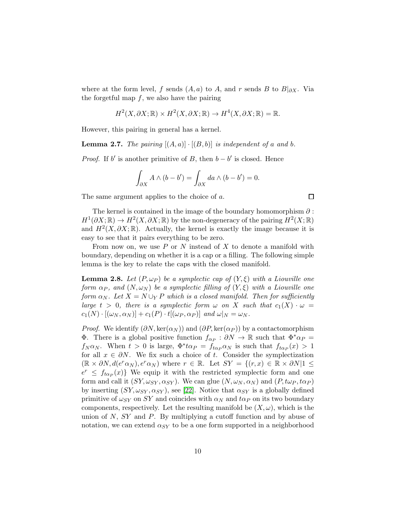where at the form level, f sends  $(A, a)$  to A, and r sends B to  $B|_{\partial X}$ . Via the forgetful map  $f$ , we also have the pairing

$$
H^2(X, \partial X; \mathbb{R}) \times H^2(X, \partial X; \mathbb{R}) \to H^4(X, \partial X; \mathbb{R}) = \mathbb{R}.
$$

However, this pairing in general has a kernel.

**Lemma 2.7.** The pairing  $[(A, a)] \cdot [(B, b)]$  is independent of a and b.

*Proof.* If b' is another primitive of B, then  $b - b'$  is closed. Hence

$$
\int_{\partial X} A \wedge (b - b') = \int_{\partial X} da \wedge (b - b') = 0.
$$

 $\Box$ 

The same argument applies to the choice of a.

The kernel is contained in the image of the boundary homomorphism  $\partial$ :  $H^1(\partial X;\mathbb{R}) \to H^2(X,\partial X;\mathbb{R})$  by the non-degeneracy of the pairing  $H^2(X;\mathbb{R})$ and  $H^2(X, \partial X; \mathbb{R})$ . Actually, the kernel is exactly the image because it is easy to see that it pairs everything to be zero.

From now on, we use  $P$  or  $N$  instead of  $X$  to denote a manifold with boundary, depending on whether it is a cap or a filling. The following simple lemma is the key to relate the caps with the closed manifold.

<span id="page-9-0"></span>**Lemma 2.8.** Let  $(P, \omega_P)$  be a symplectic cap of  $(Y, \xi)$  with a Liouville one form  $\alpha_P$ , and  $(N, \omega_N)$  be a symplectic filling of  $(Y, \xi)$  with a Liouville one form  $\alpha_N$ . Let  $X = N \cup_Y P$  which is a closed manifold. Then for sufficiently large  $t > 0$ , there is a symplectic form  $\omega$  on X such that  $c_1(X) \cdot \omega =$  $c_1(N) \cdot [(\omega_N, \alpha_N)] + c_1(P) \cdot t[(\omega_P, \alpha_P)]$  and  $\omega|_N = \omega_N$ .

*Proof.* We identify  $(\partial N, \ker(\alpha_N))$  and  $(\partial P, \ker(\alpha_P))$  by a contactomorphism **Φ.** There is a global positive function  $f_{\alpha_P} : \partial N \to \mathbb{R}$  such that  $\Phi^* \alpha_P =$  $f_N \alpha_N$ . When  $t > 0$  is large,  $\Phi^* t \alpha_P = f_{t \alpha_P} \alpha_N$  is such that  $f_{t \alpha_P}(x) > 1$ for all  $x \in \partial N$ . We fix such a choice of t. Consider the symplectization  $(\mathbb{R} \times \partial N, d(e^r \alpha_N), e^r \alpha_N)$  where  $r \in \mathbb{R}$ . Let  $SY = \{(r, x) \in \mathbb{R} \times \partial N | 1 \leq$  $e^r \le f_{\text{top}}(x)$  We equip it with the restricted symplectic form and one form and call it  $(SY, \omega_{SY}, \alpha_{SY})$ . We can glue  $(N, \omega_N, \alpha_N)$  and  $(P, t\omega_P, t\alpha_P)$ by inserting  $(SY, \omega_{SY}, \alpha_{SY})$ , see [\[22\]](#page-39-4). Notice that  $\alpha_{SY}$  is a globally defined primitive of  $\omega_{SY}$  on SY and coincides with  $\alpha_N$  and  $t\alpha_P$  on its two boundary components, respectively. Let the resulting manifold be  $(X, \omega)$ , which is the union of  $N$ ,  $SY$  and  $P$ . By multiplying a cutoff function and by abuse of notation, we can extend  $\alpha_{SY}$  to be a one form supported in a neighborhood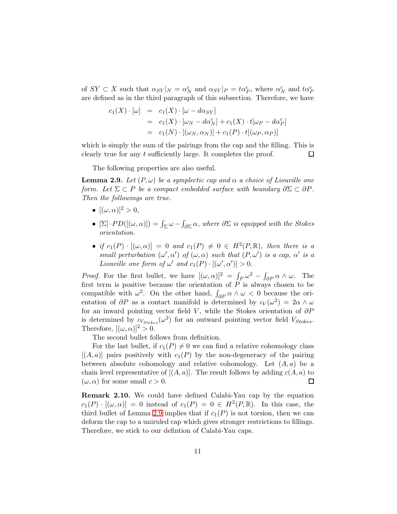of  $SY \subset X$  such that  $\alpha_{SY}|_N = \alpha_N^c$  and  $\alpha_{SY}|_P = \alpha_P^c$ , where  $\alpha_N^c$  and  $\alpha_P^c$ are defined as in the third paragraph of this subsection. Therefore, we have

$$
c_1(X) \cdot [\omega] = c_1(X) \cdot [\omega - d\alpha_{SY}]
$$
  
= 
$$
c_1(X) \cdot [\omega_N - d\alpha_N^c] + c_1(X) \cdot t[\omega_P - d\alpha_P^c]
$$
  
= 
$$
c_1(N) \cdot [(\omega_N, \alpha_N)] + c_1(P) \cdot t[(\omega_P, \alpha_P)]
$$

which is simply the sum of the pairings from the cap and the filling. This is clearly true for any t sufficiently large. It completes the proof. □

The following properties are also useful.

<span id="page-10-0"></span>**Lemma 2.9.** Let  $(P, \omega)$  be a symplectic cap and  $\alpha$  a choice of Liouville one form. Let  $\Sigma \subset P$  be a compact embedded surface with boundary  $\partial \Sigma \subset \partial P$ . Then the followings are true.

- $[(\omega, \alpha)]^2 > 0$ ,
- $[\Sigma] \cdot PD([(\omega, \alpha)]) = \int_{\Sigma} \omega \int_{\partial \Sigma} \alpha$ , where  $\partial \Sigma$  is equipped with the Stokes orientation.
- if  $c_1(P) \cdot [(\omega, \alpha)] = 0$  and  $c_1(P) \neq 0 \in H^2(P, \mathbb{R})$ , then there is a small perturbation  $(\omega', \alpha')$  of  $(\omega, \alpha)$  such that  $(P, \omega')$  is a cap,  $\alpha'$  is a Liouville one form of  $\omega'$  and  $c_1(P) \cdot [(\omega', \alpha')] > 0$ .

*Proof.* For the first bullet, we have  $[(\omega, \alpha)]^2 = \int_P \omega^2 - \int_{\partial P} \alpha \wedge \omega$ . The first term is positive because the orientation of  $\overrightarrow{P}$  is always chosen to be compatible with  $\omega^2$ . On the other hand,  $\int_{\partial P} \alpha \wedge \omega < 0$  because the orientation of  $\partial P$  as a contact manifold is determined by  $\iota_V(\omega^2) = 2\alpha \wedge \omega$ for an inward pointing vector field V, while the Stokes orientation of  $\partial P$ is determined by  $\iota_{V_{Stokes}}(\omega^2)$  for an outward pointing vector field  $V_{Stokes}$ . Therefore,  $[(\omega, \alpha)]^2 > 0$ .

The second bullet follows from definition.

For the last bullet, if  $c_1(P) \neq 0$  we can find a relative cohomology class  $[(A, a)]$  pairs positively with  $c_1(P)$  by the non-degeneracy of the pairing between absolute cohomology and relative cohomology. Let  $(A, a)$  be a chain level representative of  $[(A, a)]$ . The result follows by adding  $c(A, a)$  to  $(\omega, \alpha)$  for some small  $c > 0$ .  $\Box$ 

Remark 2.10. We could have defined Calabi-Yau cap by the equation  $c_1(P) \cdot [(\omega, \alpha)] = 0$  instead of  $c_1(P) = 0 \in H^2(P, \mathbb{R})$ . In this case, the third bullet of Lemma [2.9](#page-10-0) implies that if  $c_1(P)$  is not torsion, then we can deform the cap to a uniruled cap which gives stronger restrictions to fillings. Therefore, we stick to our defintion of Calabi-Yau caps.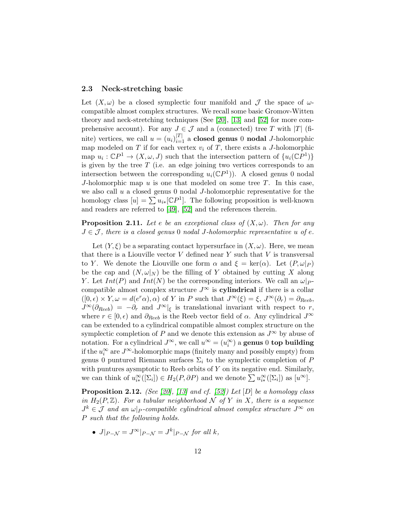#### 2.3 Neck-stretching basic

Let  $(X, \omega)$  be a closed symplectic four manifold and  $\mathcal J$  the space of  $\omega$ compatible almost complex structures. We recall some basic Gromov-Witten theory and neck-stretching techniques (See [\[20\]](#page-39-5), [\[13\]](#page-38-9) and [\[52\]](#page-41-10) for more comprehensive account). For any  $J \in \mathcal{J}$  and a (connected) tree T with |T| (finite) vertices, we call  $u = (u_i)_{i=1}^{|T|}$  a **closed genus** 0 **nodal** J-holomorphic map modeled on T if for each vertex  $v_i$  of T, there exists a J-holomorphic map  $u_i : \mathbb{C}P^1 \to (X, \omega, J)$  such that the intersection pattern of  $\{u_i(\mathbb{C}P^1)\}\$ is given by the tree  $T$  (i.e. an edge joining two vertices corresponds to an intersection between the corresponding  $u_i(\mathbb{C}P^1)$ ). A closed genus 0 nodal J-holomorphic map u is one that modeled on some tree  $T$ . In this case, we also call  $u$  a closed genus 0 nodal  $J$ -holomorphic representative for the homology class  $[u] = \sum u_{i*}[\mathbb{C}P^{1}]$ . The following proposition is well-known and readers are referred to [\[49\]](#page-41-0), [\[52\]](#page-41-10) and the references therein.

<span id="page-11-0"></span>**Proposition 2.11.** Let e be an exceptional class of  $(X, \omega)$ . Then for any  $J \in \mathcal{J}$ , there is a closed genus 0 nodal J-holomorphic representative u of e.

Let  $(Y, \xi)$  be a separating contact hypersurface in  $(X, \omega)$ . Here, we mean that there is a Liouville vector V defined near Y such that V is transversal to Y. We denote the Liouville one form  $\alpha$  and  $\xi = \text{ker}(\alpha)$ . Let  $(P, \omega|_P)$ be the cap and  $(N, \omega|_N)$  be the filling of Y obtained by cutting X along Y. Let  $Int(P)$  and  $Int(N)$  be the corresponding interiors. We call an  $\omega|_{P}$ compatible almost complex structure  $J^{\infty}$  is **cylindrical** if there is a collar  $([0, \epsilon) \times Y, \omega = d(e^r \alpha), \alpha)$  of Y in P such that  $J^{\infty}(\xi) = \xi, J^{\infty}(\partial_r) = \partial_{Reeb}$ ,  $J^{\infty}(\partial_{Reeb}) = -\partial_r$  and  $J^{\infty}$ <sub>|ξ</sub> is translational invariant with respect to r, where  $r \in [0, \epsilon)$  and  $\partial_{Reeb}$  is the Reeb vector field of  $\alpha$ . Any cylindrical  $J^{\infty}$ can be extended to a cylindrical compatible almost complex structure on the symplectic completion of P and we denote this extension as  $J^{\infty}$  by abuse of notation. For a cylindrical  $J^{\infty}$ , we call  $u^{\infty} = (u_i^{\infty})$  a **genus** 0 **top building** if the  $u_i^{\infty}$  are  $J^{\infty}$ -holomorphic maps (finitely many and possibly empty) from genus 0 puntured Riemann surfaces  $\Sigma_i$  to the symplectic completion of P with puntures aysmptotic to Reeb orbits of  $Y$  on its negative end. Similarly, we can think of  $u_{i*}^{\infty}([\Sigma_i]) \in H_2(P, \partial P)$  and we denote  $\sum u_{i*}^{\infty}([\Sigma_i])$  as  $[u^{\infty}]$ .

<span id="page-11-1"></span>**Proposition 2.12.** (See [\[20\]](#page-39-5), [\[13\]](#page-38-9) and cf. [\[52\]](#page-41-10)) Let [D] be a homology class in  $H_2(P, \mathbb{Z})$ . For a tubular neighborhood N of Y in X, there is a sequence  $J^k \in \mathcal{J}$  and an  $\omega|_P$ -compatible cylindrical almost complex structure  $J^{\infty}$  on P such that the following holds.

•  $J|_{P-\mathcal{N}} = J^{\infty}|_{P-\mathcal{N}} = J^k|_{P-\mathcal{N}}$  for all k,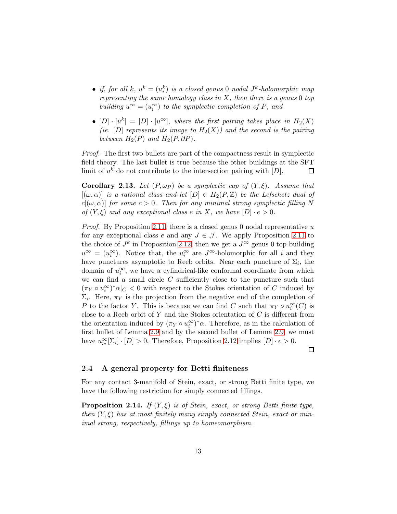- if, for all  $k, u^k = (u^k_i)$  is a closed genus 0 nodal  $J^k$ -holomorphic map representing the same homology class in  $X$ , then there is a genus 0 top building  $u^{\infty} = (u_i^{\infty})$  to the symplectic completion of P, and
- $[D] \cdot [u^k] = [D] \cdot [u^{\infty}]$ , where the first pairing takes place in  $H_2(X)$ (ie. [D] represents its image to  $H_2(X)$ ) and the second is the pairing between  $H_2(P)$  and  $H_2(P, \partial P)$ .

*Proof.* The first two bullets are part of the compactness result in symplectic field theory. The last bullet is true because the other buildings at the SFT limit of  $u^k$  do not contribute to the intersection pairing with  $[D]$ . □

<span id="page-12-1"></span>**Corollary 2.13.** Let  $(P, \omega_P)$  be a symplectic cap of  $(Y, \xi)$ . Assume that  $[(\omega, \alpha)]$  is a rational class and let  $[D] \in H_2(P, \mathbb{Z})$  be the Lefschetz dual of  $c[(\omega,\alpha)]$  for some  $c > 0$ . Then for any minimal strong symplectic filling N of  $(Y, \xi)$  and any exceptional class e in X, we have  $[D] \cdot e > 0$ .

*Proof.* By Proposition [2.11,](#page-11-0) there is a closed genus 0 nodal representative u for any exceptional class e and any  $J \in \mathcal{J}$ . We apply Proposition [2.11](#page-11-0) to the choice of  $J^k$  in Proposition [2.12,](#page-11-1) then we get a  $J^{\infty}$  genus 0 top building  $u^{\infty} = (u_i^{\infty})$ . Notice that, the  $u_i^{\infty}$  are  $J^{\infty}$ -holomorphic for all i and they have punctures asymptotic to Reeb orbits. Near each puncture of  $\Sigma_i$ , the domain of  $u_i^{\infty}$ , we have a cylindrical-like conformal coordinate from which we can find a small circle  $C$  sufficiently close to the puncture such that  $(\pi_Y \circ u_i^{\infty})^* \alpha|_C < 0$  with respect to the Stokes orientation of C induced by  $\Sigma_i$ . Here,  $\pi Y$  is the projection from the negative end of the completion of P to the factor Y. This is because we can find C such that  $\pi_Y \circ u_i^{\infty}(C)$  is close to a Reeb orbit of Y and the Stokes orientation of  $C$  is different from the orientation induced by  $(\pi_Y \circ u_i^{\infty})^* \alpha$ . Therefore, as in the calculation of first bullet of Lemma [2.9](#page-10-0) and by the second bullet of Lemma [2.9,](#page-10-0) we must have  $u_{i*}^{\infty}[\Sigma_i] \cdot [D] > 0$ . Therefore, Proposition [2.12](#page-11-1) implies  $[D] \cdot e > 0$ .

 $\Box$ 

#### 2.4 A general property for Betti finiteness

For any contact 3-manifold of Stein, exact, or strong Betti finite type, we have the following restriction for simply connected fillings.

<span id="page-12-0"></span>**Proposition 2.14.** If  $(Y, \xi)$  is of Stein, exact, or strong Betti finite type, then  $(Y, \xi)$  has at most finitely many simply connected Stein, exact or minimal strong, respectively, fillings up to homeomorphism.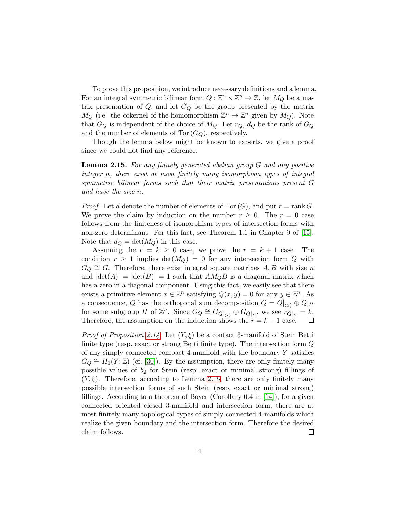To prove this proposition, we introduce necessary definitions and a lemma. For an integral symmetric bilinear form  $Q: \mathbb{Z}^n \times \mathbb{Z}^n \to \mathbb{Z}$ , let  $M_Q$  be a matrix presentation of  $Q$ , and let  $G_Q$  be the group presented by the matrix  $M_Q$  (i.e. the cokernel of the homomorphism  $\mathbb{Z}^n \to \mathbb{Z}^n$  given by  $M_Q$ ). Note that  $G_Q$  is independent of the choice of  $M_Q$ . Let  $r_Q$ ,  $d_Q$  be the rank of  $G_Q$ and the number of elements of Tor  $(G_Q)$ , respectively.

Though the lemma below might be known to experts, we give a proof since we could not find any reference.

<span id="page-13-0"></span>Lemma 2.15. For any finitely generated abelian group G and any positive integer n, there exist at most finitely many isomorphism types of integral symmetric bilinear forms such that their matrix presentations present G and have the size n.

*Proof.* Let d denote the number of elements of Tor  $(G)$ , and put  $r = \text{rank } G$ . We prove the claim by induction on the number  $r \geq 0$ . The  $r = 0$  case follows from the finiteness of isomorphism types of intersection forms with non-zero determinant. For this fact, see Theorem 1.1 in Chapter 9 of [\[15\]](#page-38-10). Note that  $d_Q = \det(M_Q)$  in this case.

Assuming the  $r = k \geq 0$  case, we prove the  $r = k + 1$  case. The condition  $r \geq 1$  implies  $\det(M_Q) = 0$  for any intersection form Q with  $G_Q \cong G$ . Therefore, there exist integral square matrixes A, B with size n and  $|\det(A)| = |\det(B)| = 1$  such that  $AM_QB$  is a diagonal matrix which has a zero in a diagonal component. Using this fact, we easily see that there exists a primitive element  $x \in \mathbb{Z}^n$  satisfying  $Q(x, y) = 0$  for any  $y \in \mathbb{Z}^n$ . As a consequence, Q has the orthogonal sum decomposition  $Q = Q|_{\langle x \rangle} \oplus Q|_{H}$ for some subgroup H of  $\mathbb{Z}^n$ . Since  $G_Q \cong G_{Q|_{\langle x \rangle}} \oplus G_{Q|_H}$ , we see  $r_{Q|_H} = k$ . Therefore, the assumption on the induction shows the  $r = k + 1$  case.  $\Box$ 

*Proof of Proposition [2.14.](#page-12-0)* Let  $(Y, \xi)$  be a contact 3-manifold of Stein Betti finite type (resp. exact or strong Betti finite type). The intersection form  $Q$ of any simply connected compact 4-manifold with the boundary  $Y$  satisfies  $G_Q \cong H_1(Y;\mathbb{Z})$  (cf. [\[30\]](#page-40-9)). By the assumption, there are only finitely many possible values of  $b_2$  for Stein (resp. exact or minimal strong) fillings of  $(Y, \xi)$ . Therefore, according to Lemma [2.15,](#page-13-0) there are only finitely many possible intersection forms of such Stein (resp. exact or minimal strong) fillings. According to a theorem of Boyer (Corollary 0.4 in  $[14]$ ), for a given connected oriented closed 3-manifold and intersection form, there are at most finitely many topological types of simply connected 4-manifolds which realize the given boundary and the intersection form. Therefore the desired claim follows.  $\Box$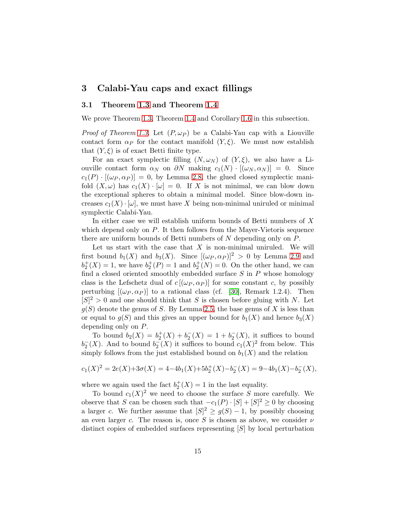# <span id="page-14-0"></span>3 Calabi-Yau caps and exact fillings

## 3.1 Theorem [1.3](#page-2-0) and Theorem [1.4](#page-2-1)

We prove Theorem [1.3,](#page-2-0) Theorem [1.4](#page-2-1) and Corollary [1.6](#page-2-3) in this subsection.

*Proof of Theorem [1.3.](#page-2-0)* Let  $(P, \omega_P)$  be a Calabi-Yau cap with a Liouville contact form  $\alpha_P$  for the contact manifold  $(Y, \xi)$ . We must now establish that  $(Y, \xi)$  is of exact Betti finite type.

For an exact symplectic filling  $(N, \omega_N)$  of  $(Y, \xi)$ , we also have a Liouville contact form  $\alpha_N$  on  $\partial N$  making  $c_1(N) \cdot [(\omega_N, \alpha_N)] = 0$ . Since  $c_1(P) \cdot [(\omega_P, \alpha_P)] = 0$ , by Lemma [2.8,](#page-9-0) the glued closed symplectic manifold  $(X, \omega)$  has  $c_1(X) \cdot [\omega] = 0$ . If X is not minimal, we can blow down the exceptional spheres to obtain a minimal model. Since blow-down increases  $c_1(X) \cdot [\omega]$ , we must have X being non-minimal uniruled or minimal symplectic Calabi-Yau.

In either case we will establish uniform bounds of Betti numbers of  $X$ which depend only on  $P$ . It then follows from the Mayer-Vietoris sequence there are uniform bounds of Betti numbers of  $N$  depending only on  $P$ .

Let us start with the case that  $X$  is non-minimal uniruled. We will first bound  $b_1(X)$  and  $b_3(X)$ . Since  $[(\omega_P, \alpha_P)]^2 > 0$  by Lemma [2.9](#page-10-0) and  $b_2^+(X) = 1$ , we have  $b_2^+(P) = 1$  and  $b_2^+(N) = 0$ . On the other hand, we can find a closed oriented smoothly embedded surface  $S$  in  $P$  whose homology class is the Lefschetz dual of  $c$  [( $\omega_P, \alpha_P$ )] for some constant c, by possibly perturbing  $[(\omega_P, \alpha_P)]$  to a rational class (cf. [\[30\]](#page-40-9), Remark 1.2.4). Then  $[S]^2 > 0$  and one should think that S is chosen before gluing with N. Let  $g(S)$  denote the genus of S. By Lemma [2.5,](#page-7-1) the base genus of X is less than or equal to  $g(S)$  and this gives an upper bound for  $b_1(X)$  and hence  $b_3(X)$ depending only on P.

To bound  $b_2(X) = b_2^+(X) + b_2^-(X) = 1 + b_2^-(X)$ , it suffices to bound  $b_2^-(X)$ . And to bound  $b_2^-(X)$  it suffices to bound  $c_1(X)^2$  from below. This simply follows from the just established bound on  $b_1(X)$  and the relation

$$
c_1(X)^2 = 2e(X) + 3\sigma(X) = 4 - 4b_1(X) + 5b_2^+(X) - b_2^-(X) = 9 - 4b_1(X) - b_2^-(X),
$$

where we again used the fact  $b_2^+(X) = 1$  in the last equality.

To bound  $c_1(X)^2$  we need to choose the surface S more carefully. We observe that S can be chosen such that  $-c_1(P) \cdot [S] + [S]^2 \ge 0$  by choosing a larger c. We further assume that  $|S|^2 \ge g(S) - 1$ , by possibly choosing an even larger c. The reason is, once S is chosen as above, we consider  $\nu$ distinct copies of embedded surfaces representing [S] by local perturbation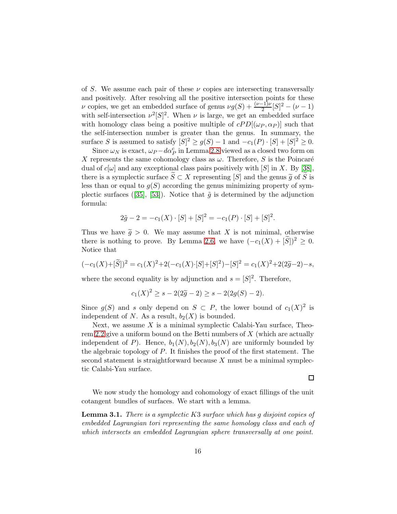of S. We assume each pair of these  $\nu$  copies are intersecting transversally and positively. After resolving all the positive intersection points for these v copies, we get an embedded surface of genus  $\nu g(S) + \frac{(\nu-1)\nu}{2}[S]^2 - (\nu-1)$ with self-intersection  $\nu^2[S]^2$ . When  $\nu$  is large, we get an embedded surface with homology class being a positive multiple of  $cPD[(\omega_P, \alpha_P)]$  such that the self-intersection number is greater than the genus. In summary, the surface S is assumed to satisfy  $[S]^2 \ge g(S) - 1$  and  $-c_1(P) \cdot [S] + [S]^2 \ge 0$ .

Since  $\omega_N$  is exact,  $\omega_P - d\alpha_P^c$  in Lemma [2.8](#page-9-0) viewed as a closed two form on X represents the same cohomology class as  $\omega$ . Therefore, S is the Poincaré dual of  $c[\omega]$  and any exceptional class pairs positively with [S] in X. By [\[38\]](#page-40-10), there is a symplectic surface  $S \subset X$  representing [S] and the genus  $\widetilde{g}$  of S is less than or equal to  $g(S)$  according the genus minimizing property of sym-plecticsurfaces ([\[35\]](#page-40-11), [\[53\]](#page-41-11)). Notice that  $\tilde{q}$  is determined by the adjunction formula:

$$
2\tilde{g} - 2 = -c_1(X) \cdot [S] + [S]^2 = -c_1(P) \cdot [S] + [S]^2.
$$

Thus we have  $\tilde{g} > 0$ . We may assume that X is not minimal, otherwise there is nothing to prove. By Lemma [2.6,](#page-7-2) we have  $(-c_1(X) + |\tilde{S}|)^2 \geq 0$ . Notice that

$$
(-c_1(X) + [\tilde{S}])^2 = c_1(X)^2 + 2(-c_1(X) \cdot [S] + [S]^2) - [S]^2 = c_1(X)^2 + 2(2\tilde{g} - 2) - s,
$$

where the second equality is by adjunction and  $s = [S]^2$ . Therefore,

$$
c_1(X)^2 \ge s - 2(2\tilde{g} - 2) \ge s - 2(2g(S) - 2).
$$

Since  $g(S)$  and s only depend on  $S \subset P$ , the lower bound of  $c_1(X)^2$  is independent of N. As a result,  $b_2(X)$  is bounded.

Next, we assume  $X$  is a minimal symplectic Calabi-Yau surface, Theo-rem [2.2](#page-6-0) give a uniform bound on the Betti numbers of  $X$  (which are actually independent of P). Hence,  $b_1(N), b_2(N), b_3(N)$  are uniformly bounded by the algebraic topology of P. It finishes the proof of the first statement. The second statement is straightforward because  $X$  must be a minimal symplectic Calabi-Yau surface.

 $\Box$ 

We now study the homology and cohomology of exact fillings of the unit cotangent bundles of surfaces. We start with a lemma.

<span id="page-15-0"></span>Lemma 3.1. There is a symplectic K3 surface which has g disjoint copies of embedded Lagrangian tori representing the same homology class and each of which intersects an embedded Lagrangian sphere transversally at one point.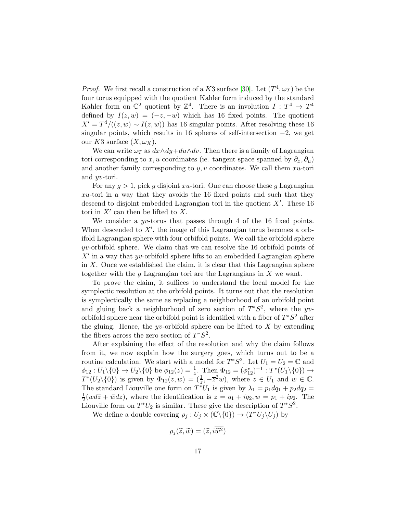*Proof.* We first recall a construction of a K3 surface [\[30\]](#page-40-9). Let  $(T^4, \omega_T)$  be the four torus equipped with the quotient Kahler form induced by the standard Kahler form on  $\mathbb{C}^2$  quotient by  $\mathbb{Z}^4$ . There is an involution  $I: T^4 \to T^4$ defined by  $I(z, w) = (-z, -w)$  which has 16 fixed points. The quotient  $X' = T^4/((z, w) \sim I(z, w))$  has 16 singular points. After resolving these 16 singular points, which results in 16 spheres of self-intersection  $-2$ , we get our K3 surface  $(X, \omega_X)$ .

We can write  $\omega_T$  as  $dx \wedge dy + du \wedge dv$ . Then there is a family of Lagrangian tori corresponding to x, u coordinates (ie. tangent space spanned by  $\partial_x, \partial_y$ ) and another family corresponding to  $y, v$  coordinates. We call them  $xu$ -tori and yv-tori.

For any  $q > 1$ , pick g disjoint xu-tori. One can choose these g Lagrangian  $xu$ -tori in a way that they avoids the 16 fixed points and such that they descend to disjoint embedded Lagrangian tori in the quotient  $X'$ . These 16 tori in  $X'$  can then be lifted to  $X$ .

We consider a  $yv$ -torus that passes through 4 of the 16 fixed points. When descended to  $X'$ , the image of this Lagrangian torus becomes a orbifold Lagrangian sphere with four orbifold points. We call the orbifold sphere  $yv$ -orbifold sphere. We claim that we can resolve the 16 orbifold points of  $X'$  in a way that yv-orbifold sphere lifts to an embedded Lagrangian sphere in  $X$ . Once we established the claim, it is clear that this Lagrangian sphere together with the g Lagrangian tori are the Lagrangians in  $X$  we want.

To prove the claim, it suffices to understand the local model for the symplectic resolution at the orbifold points. It turns out that the resolution is symplectically the same as replacing a neighborhood of an orbifold point and gluing back a neighborhood of zero section of  $T^*S^2$ , where the yvorbifold sphere near the orbifold point is identified with a fiber of  $T^*S^2$  after the gluing. Hence, the yv-orbifold sphere can be lifted to  $X$  by extending the fibers across the zero section of  $T^*S^2$ .

After explaining the effect of the resolution and why the claim follows from it, we now explain how the surgery goes, which turns out to be a routine calculation. We start with a model for  $T^*S^2$ . Let  $U_1 = U_2 = \mathbb{C}$  and  $\phi_{12}: U_1 \backslash \{0\} \to U_2 \backslash \{0\}$  be  $\phi_{12}(z) = \frac{1}{z}$ . Then  $\Phi_{12} = (\phi_{12}^*)^{-1} : T^*(U_1 \backslash \{0\}) \to$  $T^*(U_2 \setminus \{0\})$  is given by  $\Phi_{12}(z, w) = (\frac{1}{z}, -\overline{z}^2 w)$ , where  $z \in U_1$  and  $w \in \mathbb{C}$ . The standard Liouville one form on  $T^*U_1$  is given by  $\lambda_1 = p_1 dq_1 + p_2 dq_2 =$ 1  $\frac{1}{2}(wd\overline{z} + \overline{w}dz)$ , where the identification is  $z = q_1 + iq_2, w = p_1 + ip_2$ . The Liouville form on  $T^*U_2$  is similar. These give the description of  $T^*S^2$ .

We define a double covering  $\rho_j: U_j \times (\mathbb{C}\backslash \{0\}) \to (T^*U_j \backslash U_j)$  by

$$
\rho_j(\widetilde{z},\widetilde{w})=(\widetilde{z},i\overline{\widetilde{w}^2})
$$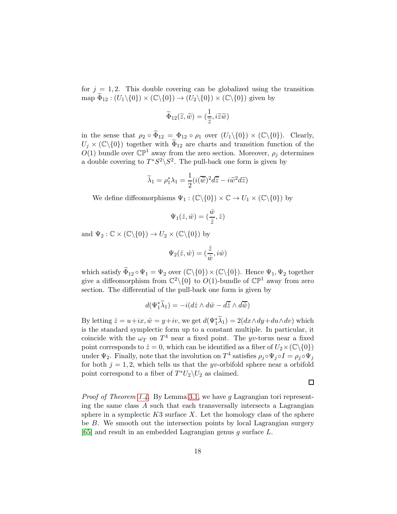for  $j = 1, 2$ . This double covering can be globalized using the transition map  $\widetilde{\Phi}_{12}$ :  $(U_1\backslash\{0\})\times(\mathbb{C}\backslash\{0\})\to(U_2\backslash\{0\})\times(\mathbb{C}\backslash\{0\})$  given by

$$
\widetilde{\Phi}_{12}(\widetilde{z},\widetilde{w}) = (\frac{1}{\widetilde{z}}, i\widetilde{z}\widetilde{w})
$$

in the sense that  $\rho_2 \circ \tilde{\Phi}_{12} = \Phi_{12} \circ \rho_1$  over  $(U_1 \setminus \{0\}) \times (\mathbb{C} \setminus \{0\})$ . Clearly,  $U_j \times (\mathbb{C}\backslash\{0\})$  together with  $\widetilde{\Phi}_{12}$  are charts and transition function of the  $O(1)$  bundle over  $\mathbb{CP}^1$  away from the zero section. Moreover,  $\rho_j$  determines a double covering to  $T^*S^2\backslash S^2$ . The pull-back one form is given by

$$
\widetilde{\lambda}_1 = \rho_1^* \lambda_1 = \frac{1}{2} (i(\overline{\widetilde{w}})^2 d\overline{\widetilde{z}} - i \widetilde{w}^2 d\widetilde{z})
$$

We define diffeomorphisms  $\Psi_1 : (\mathbb{C}\backslash\{0\}) \times \mathbb{C} \to U_1 \times (\mathbb{C}\backslash\{0\})$  by

$$
\Psi_1(\hat{z}, \hat{w}) = (\frac{\hat{w}}{\hat{z}}, \hat{z})
$$

and  $\Psi_2 : \mathbb{C} \times (\mathbb{C} \backslash \{0\}) \to U_2 \times (\mathbb{C} \backslash \{0\})$  by

$$
\Psi_2(\hat{z},\hat{w})=(\frac{\hat{z}}{\hat{w}},i\hat{w})
$$

which satisfy  $\widetilde{\Phi}_{12} \circ \Psi_1 = \Psi_2$  over  $(\mathbb{C}\backslash \{0\}) \times (\mathbb{C}\backslash \{0\})$ . Hence  $\Psi_1, \Psi_2$  together give a diffeomorphism from  $\mathbb{C}^2 \setminus \{0\}$  to  $O(1)$ -bundle of  $\mathbb{CP}^1$  away from zero section. The differential of the pull-back one form is given by

$$
d(\Psi_1^*\widetilde{\lambda}_1) = -i(d\hat{z} \wedge d\hat{w} - d\overline{\hat{z}} \wedge d\overline{\hat{w}})
$$

By letting  $\hat{z} = u + ix, \hat{w} = y + iv$ , we get  $d(\Psi_1^* \tilde{\lambda}_1) = 2(dx \wedge dy + du \wedge dv)$  which is the standard symplectic form up to a constant multiple. In particular, it coincide with the  $\omega_T$  on  $T^4$  near a fixed point. The yv-torus near a fixed point corresponds to  $\hat{z} = 0$ , which can be identified as a fiber of  $U_2 \times (\mathbb{C} \setminus \{0\})$ under  $\Psi_2$ . Finally, note that the involution on  $T^4$  satisfies  $\rho_j \circ \Psi_j \circ I = \rho_j \circ \Psi_j$ for both  $j = 1, 2$ , which tells us that the yv-orbifold sphere near a orbifold point correspond to a fiber of  $T^*U_2\backslash U_2$  as claimed.

 $\Box$ 

*Proof of Theorem [1.4.](#page-2-1)* By Lemma [3.1,](#page-15-0) we have q Lagrangian tori representing the same class  $A$  such that each transversally intersects a Lagrangian sphere in a symplectic  $K3$  surface X. Let the homology class of the sphere be B. We smooth out the intersection points by local Lagrangian surgery  $[65]$  and result in an embedded Lagrangian genus g surface L.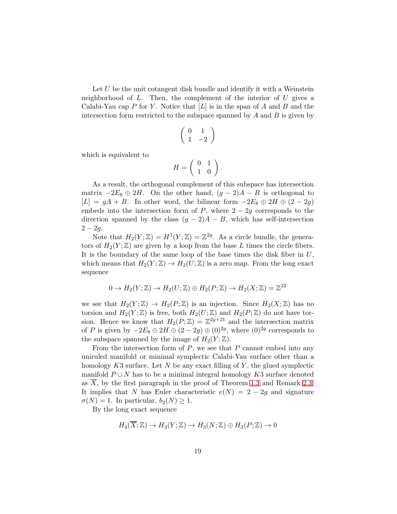Let  $U$  be the unit cotangent disk bundle and identify it with a Weinstein neighborhood of  $L$ . Then, the complement of the interior of  $U$  gives a Calabi-Yau cap P for Y. Notice that  $[L]$  is in the span of A and B and the intersection form restricted to the subspace spanned by  $A$  and  $B$  is given by

$$
\left(\begin{array}{cc} 0 & 1 \\ 1 & -2 \end{array}\right)
$$

which is equivalent to

$$
H = \left( \begin{array}{cc} 0 & 1 \\ 1 & 0 \end{array} \right).
$$

As a result, the orthogonal complement of this subspace has intersection matrix  $-2E_8 \oplus 2H$ . On the other hand,  $(g-2)A - B$  is orthogonal to  $[L] = gA + B$ . In other word, the bilinear form  $-2E_8 \oplus 2H \oplus (2-2g)$ embeds into the intersection form of  $P$ , where  $2 - 2g$  corresponds to the direction spanned by the class  $(g - 2)A - B$ , which has self-intersection  $2 - 2g$ .

Note that  $H_2(Y;\mathbb{Z}) = H^1(Y;\mathbb{Z}) = \mathbb{Z}^{2g}$ . As a circle bundle, the generators of  $H_2(Y;\mathbb{Z})$  are given by a loop from the base L times the circle fibers. It is the boundary of the same loop of the base times the disk fiber in  $U$ , which means that  $H_2(Y;\mathbb{Z}) \to H_2(U;\mathbb{Z})$  is a zero map. From the long exact sequence

$$
0 \to H_2(Y; \mathbb{Z}) \to H_2(U; \mathbb{Z}) \oplus H_2(P; \mathbb{Z}) \to H_2(X; \mathbb{Z}) = \mathbb{Z}^{22}
$$

we see that  $H_2(Y;\mathbb{Z}) \to H_2(P;\mathbb{Z})$  is an injection. Since  $H_2(X;\mathbb{Z})$  has no torsion and  $H_2(Y;\mathbb{Z})$  is free, both  $H_2(U;\mathbb{Z})$  and  $H_2(P;\mathbb{Z})$  do not have torsion. Hence we know that  $H_2(P;\mathbb{Z}) = \mathbb{Z}^{2g+21}$  and the intersection matrix of P is given by  $-2E_8 \oplus 2H \oplus (2-2g) \oplus (0)^{2g}$ , where  $(0)^{2g}$  corresponds to the subspace spanned by the image of  $H_2(Y;\mathbb{Z})$ .

From the intersection form of  $P$ , we see that  $P$  cannot embed into any uniruled manifold or minimal symplectic Calabi-Yau surface other than a homology  $K3$  surface. Let N be any exact filling of Y, the glued symplectic manifold  $P \cup N$  has to be a minimal integral homology K3 surface denoted as X, by the first paragraph in the proof of Theorem [1.3](#page-2-0) and Remark [2.3.](#page-6-1) It implies that N has Euler characteristic  $e(N) = 2 - 2g$  and signature  $\sigma(N) = 1$ . In particular,  $b_2(N) \geq 1$ .

By the long exact sequence

$$
H_4(\overline{X};\mathbb{Z}) \to H_3(Y;\mathbb{Z}) \to H_3(N;\mathbb{Z}) \oplus H_3(P;\mathbb{Z}) \to 0
$$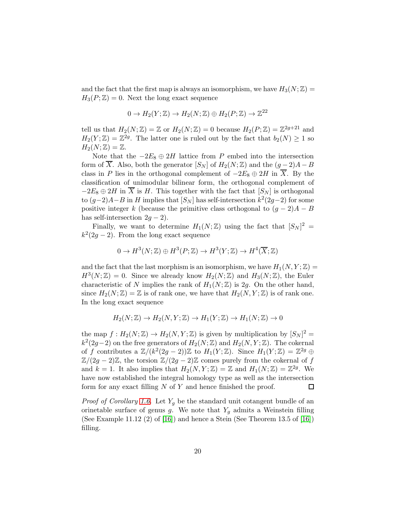and the fact that the first map is always an isomorphism, we have  $H_3(N;\mathbb{Z}) =$  $H_3(P;\mathbb{Z})=0$ . Next the long exact sequence

$$
0 \to H_2(Y; \mathbb{Z}) \to H_2(N; \mathbb{Z}) \oplus H_2(P; \mathbb{Z}) \to \mathbb{Z}^{22}
$$

tell us that  $H_2(N;\mathbb{Z}) = \mathbb{Z}$  or  $H_2(N;\mathbb{Z}) = 0$  because  $H_2(P;\mathbb{Z}) = \mathbb{Z}^{2g+21}$  and  $H_2(Y;\mathbb{Z}) = \mathbb{Z}^{2g}$ . The latter one is ruled out by the fact that  $b_2(N) \geq 1$  so  $H_2(N;\mathbb{Z})=\mathbb{Z}.$ 

Note that the  $-2E_8 \oplus 2H$  lattice from P embed into the intersection form of  $\overline{X}$ . Also, both the generator  $[S_N]$  of  $H_2(N;\mathbb{Z})$  and the  $(g-2)A-B$ class in P lies in the orthogonal complement of  $-2E_8 \oplus 2H$  in  $\overline{X}$ . By the classification of unimodular bilinear form, the orthogonal complement of  $-2E_8 \oplus 2H$  in X is H. This together with the fact that  $[S_N]$  is orthogonal to  $(g-2)A-B$  in H implies that  $[S_N]$  has self-intersection  $k^2(2g-2)$  for some positive integer k (because the primitive class orthogonal to  $(g - 2)A - B$ has self-intersection  $2g - 2$ ).

Finally, we want to determine  $H_1(N;\mathbb{Z})$  using the fact that  $[S_N]^2 =$  $k^2(2g-2)$ . From the long exact sequence

$$
0 \to H^3(N; \mathbb{Z}) \oplus H^3(P; \mathbb{Z}) \to H^3(Y; \mathbb{Z}) \to H^4(\overline{X}; \mathbb{Z})
$$

and the fact that the last morphism is an isomorphism, we have  $H_1(N, Y; \mathbb{Z}) =$  $H^3(N;\mathbb{Z}) = 0$ . Since we already know  $H_2(N;\mathbb{Z})$  and  $H_3(N;\mathbb{Z})$ , the Euler characteristic of N implies the rank of  $H_1(N;\mathbb{Z})$  is 2g. On the other hand, since  $H_2(N;\mathbb{Z}) = \mathbb{Z}$  is of rank one, we have that  $H_2(N, Y; \mathbb{Z})$  is of rank one. In the long exact sequence

$$
H_2(N; \mathbb{Z}) \to H_2(N, Y; \mathbb{Z}) \to H_1(Y; \mathbb{Z}) \to H_1(N; \mathbb{Z}) \to 0
$$

the map  $f: H_2(N; \mathbb{Z}) \to H_2(N, Y; \mathbb{Z})$  is given by multiplication by  $[S_N]^2 =$  $k^2(2g-2)$  on the free generators of  $H_2(N;\mathbb{Z})$  and  $H_2(N,Y;\mathbb{Z})$ . The cokernal of f contributes a  $\mathbb{Z}/(k^2(2g-2))\mathbb{Z}$  to  $H_1(Y;\mathbb{Z})$ . Since  $H_1(Y;\mathbb{Z}) = \mathbb{Z}^{2g} \oplus$  $\mathbb{Z}/(2g-2)\mathbb{Z}$ , the torsion  $\mathbb{Z}/(2g-2)\mathbb{Z}$  comes purely from the cokernal of f and  $k = 1$ . It also implies that  $H_2(N, Y; \mathbb{Z}) = \mathbb{Z}$  and  $H_1(N; \mathbb{Z}) = \mathbb{Z}^{2g}$ . We have now established the integral homology type as well as the intersection form for any exact filling  $N$  of  $Y$  and hence finished the proof.  $\Box$ 

*Proof of Corollary [1.6.](#page-2-3)* Let  $Y_g$  be the standard unit cotangent bundle of an orinetable surface of genus g. We note that  $Y_g$  admits a Weinstein filling (See Example 11.12  $(2)$  of [\[16\]](#page-39-6)) and hence a Stein (See Theorem 13.5 of [16]) filling.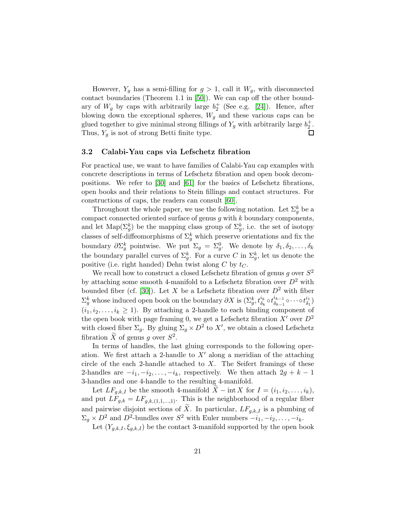However,  $Y_q$  has a semi-filling for  $g > 1$ , call it  $W_q$ , with disconnected contact boundaries (Theorem 1.1 in [\[50\]](#page-41-12)). We can cap off the other boundary of  $W_g$  by caps with arbitrarily large  $b_2^+$  (See e.g. [\[24\]](#page-39-7)). Hence, after blowing down the exceptional spheres,  $W_g$  and these various caps can be glued together to give minimal strong fillings of  $Y_g$  with arbitrarily large  $b_2^+$ . Thus,  $Y_g$  is not of strong Betti finite type.  $\Box$ 

#### 3.2 Calabi-Yau caps via Lefschetz fibration

For practical use, we want to have families of Calabi-Yau cap examples with concrete descriptions in terms of Lefschetz fibration and open book decompositions. We refer to [\[30\]](#page-40-9) and [\[61\]](#page-42-10) for the basics of Lefschetz fibrations, open books and their relations to Stein fillings and contact structures. For constructions of caps, the readers can consult [\[60\]](#page-42-11).

Throughout the whole paper, we use the following notation. Let  $\Sigma_g^k$  be a compact connected oriented surface of genus  $g$  with  $k$  boundary components, and let  $\text{Map}(\Sigma_g^k)$  be the mapping class group of  $\Sigma_g^k$ , i.e. the set of isotopy classes of self-diffeomorphisms of  $\Sigma_g^k$  which preserve orientations and fix the boundary  $\partial \Sigma_g^k$  pointwise. We put  $\Sigma_g = \Sigma_g^0$ . We denote by  $\delta_1, \delta_2, \ldots, \delta_k$ the boundary parallel curves of  $\Sigma_g^k$ . For a curve C in  $\Sigma_g^k$ , let us denote the positive (i.e. right handed) Dehn twist along C by  $t_C$ .

We recall how to construct a closed Lefschetz fibration of genus g over  $S^2$ by attaching some smooth 4-manifold to a Lefschetz fibration over  $D^2$  with bounded fiber (cf. [\[30\]](#page-40-9)). Let X be a Lefschetz fibration over  $D^2$  with fiber  $\Sigma_g^k$  whose induced open book on the boundary  $\partial X$  is  $(\Sigma_g^k, t_{\delta_k}^{i_k} \circ t_{\delta_{k-1}}^{i_{k-1}})$  $\stackrel{i_{k-1}}{\delta_{k-1}}\circ\cdots\circ t_{\delta_1}^{i_1}$  $\begin{array}{c} \iota_1 \ \delta_1 \end{array}$  $(i_1, i_2, \ldots, i_k \geq 1)$ . By attaching a 2-handle to each binding component of the open book with page framing 0, we get a Lefschetz fibration  $X'$  over  $D^2$ with closed fiber  $\Sigma_g$ . By gluing  $\Sigma_g \times D^2$  to X', we obtain a closed Lefschetz fibration  $\tilde{X}$  of genus g over  $S^2$ .

In terms of handles, the last gluing corresponds to the following operation. We first attach a 2-handle to  $X'$  along a meridian of the attaching circle of the each 2-handle attached to  $X$ . The Seifert framings of these 2-handles are  $-i_1, -i_2, \ldots, -i_k$ , respectively. We then attach  $2g + k - 1$ 3-handles and one 4-handle to the resulting 4-manifold.

Let  $LF_{g,k,I}$  be the smooth 4-manifold  $X - \text{int } X$  for  $I = (i_1, i_2, \ldots, i_k),$ and put  $LF_{g,k} = LF_{g,k,(1,1,...,1)}$ . This is the neighborhood of a regular fiber and pairwise disjoint sections of  $\widetilde{X}$ . In particular,  $LF_{q,k,I}$  is a plumbing of  $\Sigma_g \times D^2$  and  $D^2$ -bundles over  $S^2$  with Euler numbers  $-i_1, -i_2, \ldots, -i_k$ .

Let  $(Y_{g,k,I}, \xi_{g,k,I})$  be the contact 3-manifold supported by the open book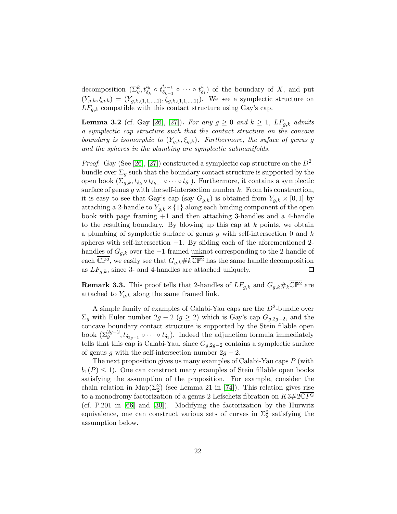decomposition  $(\Sigma_g^k, t_{\delta_k}^{i_k} \circ t_{\delta_{k-1}}^{i_{k-1}})$  $\frac{i_{k-1}}{\delta_{k-1}} \circ \cdots \circ t^{i_1}_{\delta_1}$  $\binom{i_1}{i_1}$  of the boundary of X, and put  $(Y_{g,k}, \xi_{g,k}) = (Y_{g,k,(1,1,...,1)}, \xi_{g,k,(1,1,...,1)})$ . We see a symplectic structure on  $LF_{g,k}$  compatible with this contact structure using Gay's cap.

<span id="page-21-0"></span>**Lemma 3.2** (cf. Gay [\[26\]](#page-39-8), [\[27\]](#page-39-9)). For any  $g \ge 0$  and  $k \ge 1$ , LF<sub>a,k</sub> admits a symplectic cap structure such that the contact structure on the concave boundary is isomorphic to  $(Y_{g,k}, \xi_{g,k})$ . Furthermore, the suface of genus g and the spheres in the plumbing are symplectic submanifolds.

*Proof.* Gay (See [\[26\]](#page-39-8), [\[27\]](#page-39-9)) constructed a symplectic cap structure on the  $D^2$ bundle over  $\Sigma_q$  such that the boundary contact structure is supported by the open book  $(\Sigma_{g,k}, t_{\delta_k} \circ t_{\delta_{k-1}} \circ \cdots \circ t_{\delta_1})$ . Furthermore, it contains a symplectic surface of genus q with the self-intersection number  $k$ . From his construction, it is easy to see that Gay's cap (say  $G_{q,k}$ ) is obtained from  $Y_{q,k} \times [0,1]$  by attaching a 2-handle to  $Y_{q,k} \times \{1\}$  along each binding component of the open book with page framing +1 and then attaching 3-handles and a 4-handle to the resulting boundary. By blowing up this cap at  $k$  points, we obtain a plumbing of symplectic surface of genus g with self-intersection 0 and  $k$ spheres with self-intersection −1. By sliding each of the aforementioned 2 handles of  $G_{q,k}$  over the -1-framed unknot corresponding to the 2-handle of each  $\overline{\mathbb{CP}^2}$ , we easily see that  $G_{a,k} \# k \overline{\mathbb{CP}^2}$  has the same handle decomposition as  $LF_{q,k}$ , since 3- and 4-handles are attached uniquely. □

**Remark 3.3.** This proof tells that 2-handles of  $LF_{q,k}$  and  $G_{q,k} \#_k \overline{\mathbb{CP}^2}$  are attached to  $Y_{a,k}$  along the same framed link.

A simple family of examples of Calabi-Yau caps are the  $D^2$ -bundle over  $\Sigma_g$  with Euler number 2g − 2 (g ≥ 2) which is Gay's cap  $G_{g,2g-2}$ , and the concave boundary contact structure is supported by the Stein filable open book  $(\Sigma_g^{2g-2}, t_{\delta_{2g-1}} \circ \cdots \circ t_{\delta_1})$ . Indeed the adjunction formula immediately tells that this cap is Calabi-Yau, since  $G_{g,2g-2}$  contains a symplectic surface of genus g with the self-intersection number  $2g - 2$ .

The next proposition gives us many examples of Calabi-Yau caps  $P$  (with  $b_1(P) \leq 1$ . One can construct many examples of Stein fillable open books satisfying the assumption of the proposition. For example, consider the chain relation in  $\text{Map}(\Sigma_2^2)$  (see Lemma 21 in [\[74\]](#page-43-7)). This relation gives rise to a monodromy factorization of a genus-2 Lefschetz fibration on  $K3\#2\mathbb{C}P^2$ (cf. P.201 in [\[66\]](#page-42-12) and [\[30\]](#page-40-9)). Modifying the factorization by the Hurwitz equivalence, one can construct various sets of curves in  $\Sigma_2^2$  satisfying the assumption below.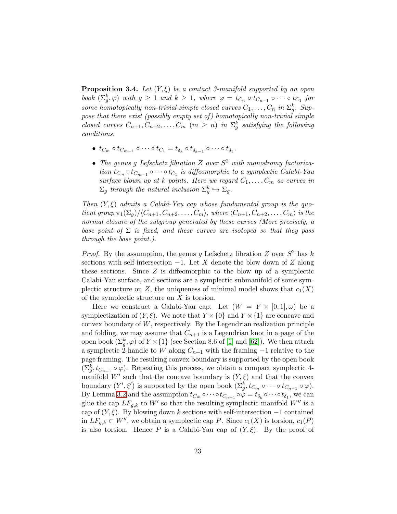<span id="page-22-0"></span>**Proposition 3.4.** Let  $(Y, \xi)$  be a contact 3-manifold supported by an open book  $(\Sigma_g^k, \varphi)$  with  $g \geq 1$  and  $k \geq 1$ , where  $\varphi = t_{C_n} \circ t_{C_{n-1}} \circ \cdots \circ t_{C_1}$  for some homotopically non-trivial simple closed curves  $C_1, \ldots, C_n$  in  $\Sigma_g^k$ . Suppose that there exist (possibly empty set of) homotopically non-trivial simple closed curves  $C_{n+1}, C_{n+2}, \ldots, C_m$   $(m \geq n)$  in  $\Sigma_g^k$  satisfying the following conditions.

- $t_{C_m} \circ t_{C_{m-1}} \circ \cdots \circ t_{C_1} = t_{\delta_k} \circ t_{\delta_{k-1}} \circ \cdots \circ t_{\delta_1}.$
- The genus g Lefschetz fibration  $Z$  over  $S^2$  with monodromy factorization  $t_{C_m} \circ t_{C_{m-1}} \circ \cdots \circ t_{C_1}$  is diffeomorphic to a symplectic Calabi-Yau surface blown up at k points. Here we regard  $C_1, \ldots, C_m$  as curves in  $\Sigma_g$  through the natural inclusion  $\Sigma_g^k \hookrightarrow \Sigma_g$ .

Then  $(Y, \xi)$  admits a Calabi-Yau cap whose fundamental group is the quotient group  $\pi_1(\Sigma_q)/\langle C_{n+1}, C_{n+2}, \ldots, C_m \rangle$ , where  $\langle C_{n+1}, C_{n+2}, \ldots, C_m \rangle$  is the normal closure of the subgroup generated by these curves (More precisely, a base point of  $\Sigma$  is fixed, and these curves are isotoped so that they pass through the base point.).

*Proof.* By the assumption, the genus g Lefschetz fibration Z over  $S^2$  has k sections with self-intersection  $-1$ . Let X denote the blow down of Z along these sections. Since  $Z$  is diffeomorphic to the blow up of a symplectic Calabi-Yau surface, and sections are a symplectic submanifold of some symplectic structure on Z, the uniqueness of minimal model shows that  $c_1(X)$ of the symplectic structure on  $X$  is torsion.

Here we construct a Calabi-Yau cap. Let  $(W = Y \times [0,1], \omega)$  be a symplectization of  $(Y, \xi)$ . We note that  $Y \times \{0\}$  and  $Y \times \{1\}$  are concave and convex boundary of W, respectively. By the Legendrian realization principle and folding, we may assume that  $C_{n+1}$  is a Legendrian knot in a page of the open book  $(\Sigma_g^k, \varphi)$  of  $Y \times \{1\}$  (see Section 8.6 of [\[1\]](#page-37-0) and [\[62\]](#page-42-5)). We then attach a symplectic 2-handle to W along  $C_{n+1}$  with the framing  $-1$  relative to the page framing. The resulting convex boundary is supported by the open book  $(\Sigma_g^k, t_{C_{n+1}} \circ \varphi)$ . Repeating this process, we obtain a compact symplectic 4manifold W' such that the concave boundary is  $(Y, \xi)$  and that the convex boundary  $(Y', \xi')$  is supported by the open book  $(\Sigma_g^k, t_{C_m} \circ \cdots \circ t_{C_{n+1}} \circ \varphi)$ . By Lemma [3.2](#page-21-0) and the assumption  $t_{C_m} \circ \cdots \circ t_{C_{n+1}} \circ \varphi = t_{\delta_k} \circ \cdots \circ t_{\delta_1}$ , we can glue the cap  $LF_{g,k}$  to W' so that the resulting symplectic manifold W'' is a cap of  $(Y, \xi)$ . By blowing down k sections with self-intersection  $-1$  contained in  $LF_{g,k} \subset W''$ , we obtain a symplectic cap P. Since  $c_1(X)$  is torsion,  $c_1(P)$ is also torsion. Hence P is a Calabi-Yau cap of  $(Y, \xi)$ . By the proof of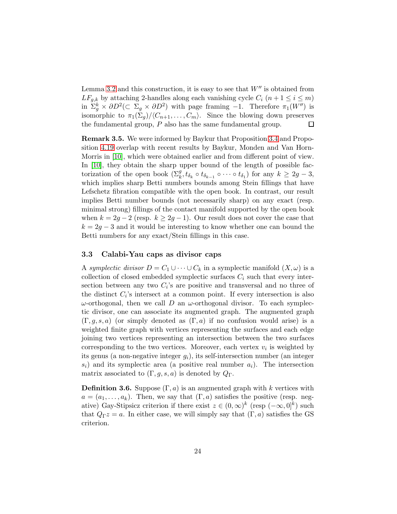Lemma [3.2](#page-21-0) and this construction, it is easy to see that  $W''$  is obtained from  $LF_{g,k}$  by attaching 2-handles along each vanishing cycle  $C_i$   $(n+1 \leq i \leq m)$ in  $\Sigma_g^k \times \partial D^2 (\subset \Sigma_g \times \partial D^2)$  with page framing -1. Therefore  $\pi_1(W'')$  is isomorphic to  $\pi_1(\Sigma_q)/\langle C_{n+1}, \ldots, C_m\rangle$ . Since the blowing down preserves the fundamental group,  $P$  also has the same fundamental group.  $\Box$ 

Remark 3.5. We were informed by Baykur that Proposition [3.4](#page-22-0) and Proposition [4.19](#page-33-1) overlap with recent results by Baykur, Monden and Van Horn-Morris in [\[10\]](#page-38-5), which were obtained earlier and from different point of view. In [\[10\]](#page-38-5), they obtain the sharp upper bound of the length of possible factorization of the open book  $(\Sigma_k^g, t_{\delta_k} \circ t_{\delta_{k-1}} \circ \cdots \circ t_{\delta_1})$  for any  $k \geq 2g-3$ , which implies sharp Betti numbers bounds among Stein fillings that have Lefschetz fibration compatible with the open book. In contrast, our result implies Betti number bounds (not necessarily sharp) on any exact (resp. minimal strong) fillings of the contact manifold supported by the open book when  $k = 2g - 2$  (resp.  $k \ge 2g - 1$ ). Our result does not cover the case that  $k = 2g - 3$  and it would be interesting to know whether one can bound the Betti numbers for any exact/Stein fillings in this case.

# <span id="page-23-0"></span>3.3 Calabi-Yau caps as divisor caps

A symplectic divisor  $D = C_1 \cup \cdots \cup C_k$  in a symplectic manifold  $(X, \omega)$  is a collection of closed embedded symplectic surfaces  $C_i$  such that every intersection between any two  $C_i$ 's are positive and transversal and no three of the distinct  $C_i$ 's intersect at a common point. If every intersection is also  $ω$ -orthogonal, then we call D an  $ω$ -orthogonal divisor. To each symplectic divisor, one can associate its augmented graph. The augmented graph  $(\Gamma, g, s, a)$  (or simply denoted as  $(\Gamma, a)$  if no confusion would arise) is a weighted finite graph with vertices representing the surfaces and each edge joining two vertices representing an intersection between the two surfaces corresponding to the two vertices. Moreover, each vertex  $v_i$  is weighted by its genus (a non-negative integer  $g_i$ ), its self-intersection number (an integer  $s_i$ ) and its symplectic area (a positive real number  $a_i$ ). The intersection matrix associated to  $(\Gamma, g, s, a)$  is denoted by  $Q_{\Gamma}$ .

**Definition 3.6.** Suppose  $(\Gamma, a)$  is an augmented graph with k vertices with  $a = (a_1, \ldots, a_k)$ . Then, we say that  $(\Gamma, a)$  satisfies the positive (resp. negative) Gay-Stipsicz criterion if there exist  $z \in (0, \infty)^k$  (resp  $(-\infty, 0]^k$ ) such that  $Q_{\Gamma}z = a$ . In either case, we will simply say that  $(\Gamma, a)$  satisfies the GS criterion.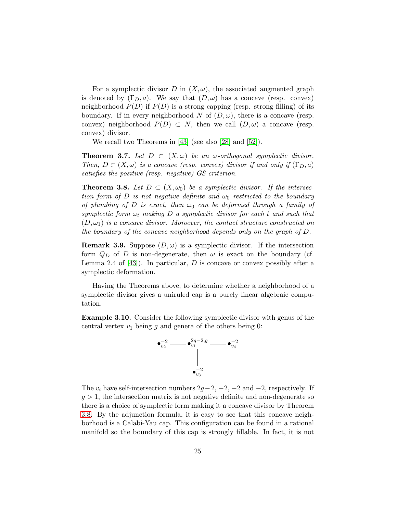For a symplectic divisor D in  $(X, \omega)$ , the associated augmented graph is denoted by  $(\Gamma_D, a)$ . We say that  $(D, \omega)$  has a concave (resp. convex) neighborhood  $P(D)$  if  $P(D)$  is a strong capping (resp. strong filling) of its boundary. If in every neighborhood N of  $(D, \omega)$ , there is a concave (resp. convex) neighborhood  $P(D) \subset N$ , then we call  $(D, \omega)$  a concave (resp. convex) divisor.

We recall two Theorems in [\[43\]](#page-41-2) (see also [\[28\]](#page-39-10) and [\[52\]](#page-41-10)).

**Theorem 3.7.** Let  $D \subset (X, \omega)$  be an  $\omega$ -orthogonal symplectic divisor. Then,  $D \subset (X, \omega)$  is a concave (resp. convex) divisor if and only if  $(\Gamma_D, a)$ satisfies the positive (resp. negative) GS criterion.

<span id="page-24-0"></span>**Theorem 3.8.** Let  $D \subset (X, \omega_0)$  be a symplectic divisor. If the intersection form of D is not negative definite and  $\omega_0$  restricted to the boundary of plumbing of D is exact, then  $\omega_0$  can be deformed through a family of symplectic form  $\omega_t$  making D a symplectic divisor for each t and such that  $(D, \omega_1)$  is a concave divisor. Moroever, the contact structure constructed on the boundary of the concave neighborhood depends only on the graph of D.

<span id="page-24-1"></span>**Remark 3.9.** Suppose  $(D, \omega)$  is a symplectic divisor. If the intersection form  $Q_D$  of D is non-degenerate, then  $\omega$  is exact on the boundary (cf. Lemma 2.4 of  $[43]$ . In particular, D is concave or convex possibly after a symplectic deformation.

Having the Theorems above, to determine whether a neighborhood of a symplectic divisor gives a uniruled cap is a purely linear algebraic computation.

Example 3.10. Consider the following symplectic divisor with genus of the central vertex  $v_1$  being g and genera of the others being 0:



The  $v_i$  have self-intersection numbers  $2g-2$ ,  $-2$ ,  $-2$  and  $-2$ , respectively. If  $q > 1$ , the intersection matrix is not negative definite and non-degenerate so there is a choice of symplectic form making it a concave divisor by Theorem [3.8.](#page-24-0) By the adjunction formula, it is easy to see that this concave neighborhood is a Calabi-Yau cap. This configuration can be found in a rational manifold so the boundary of this cap is strongly fillable. In fact, it is not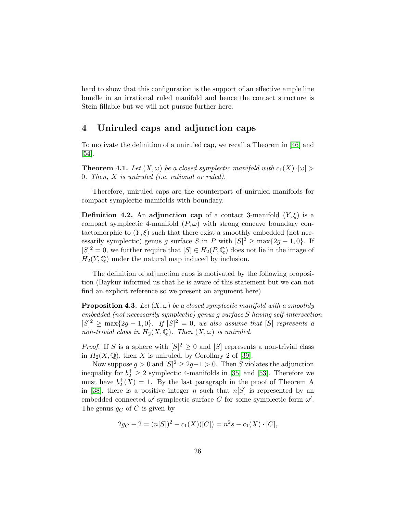hard to show that this configuration is the support of an effective ample line bundle in an irrational ruled manifold and hence the contact structure is Stein fillable but we will not pursue further here.

# <span id="page-25-1"></span>4 Uniruled caps and adjunction caps

To motivate the definition of a uniruled cap, we recall a Theorem in [\[46\]](#page-41-7) and [\[54\]](#page-41-8).

<span id="page-25-2"></span>**Theorem 4.1.** Let  $(X, \omega)$  be a closed symplectic manifold with  $c_1(X) \cdot [\omega] >$ 0. Then, X is uniruled (i.e. rational or ruled).

Therefore, uniruled caps are the counterpart of uniruled manifolds for compact symplectic manifolds with boundary.

**Definition 4.2.** An adjunction cap of a contact 3-manifold  $(Y,\xi)$  is a compact symplectic 4-manifold  $(P, \omega)$  with strong concave boundary contactomorphic to  $(Y, \xi)$  such that there exist a smoothly embedded (not necessarily symplectic) genus g surface S in P with  $[S]^2 \ge \max\{2g - 1, 0\}$ . If  $[S]^2 = 0$ , we further require that  $[S] \in H_2(P, \mathbb{Q})$  does not lie in the image of  $H_2(Y, \mathbb{Q})$  under the natural map induced by inclusion.

The definition of adjunction caps is motivated by the following proposition (Baykur informed us that he is aware of this statement but we can not find an explicit reference so we present an argument here).

<span id="page-25-0"></span>**Proposition 4.3.** Let  $(X, \omega)$  be a closed symplectic manifold with a smoothly embedded (not necessarily symplectic) genus g surface S having self-intersection  $[S]^2 \ge \max\{2g-1,0\}$ . If  $[S]^2 = 0$ , we also assume that  $[S]$  represents a non-trivial class in  $H_2(X, \mathbb{Q})$ . Then  $(X, \omega)$  is uniruled.

*Proof.* If S is a sphere with  $[S]^2 \geq 0$  and  $[S]$  represents a non-trivial class in  $H_2(X, \mathbb{Q})$ , then X is uniruled, by Corollary 2 of [\[39\]](#page-40-5).

Now suppose  $g > 0$  and  $[S]^2 \geq 2g - 1 > 0$ . Then S violates the adjunction inequality for  $b_2^+ \geq 2$  symplectic 4-manifolds in [\[35\]](#page-40-11) and [\[53\]](#page-41-11). Therefore we must have  $b_2^+(\overline{X}) = 1$ . By the last paragraph in the proof of Theorem A in [\[38\]](#page-40-10), there is a positive integer n such that  $n[S]$  is represented by an embedded connected  $\omega'$ -symplectic surface C for some symplectic form  $\omega'$ . The genus  $g_C$  of C is given by

$$
2g_C - 2 = (n[S])^2 - c_1(X)([C]) = n^2s - c_1(X) \cdot [C],
$$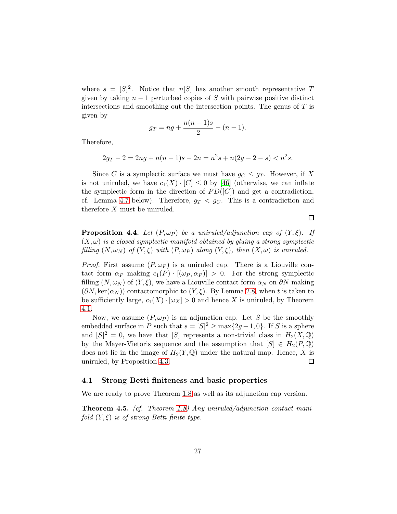where  $s = [S]^2$ . Notice that  $n[S]$  has another smooth representative T given by taking  $n-1$  perturbed copies of S with pairwise positive distinct intersections and smoothing out the intersection points. The genus of  $T$  is given by

$$
g_T = ng + \frac{n(n-1)s}{2} - (n-1).
$$

Therefore,

$$
2g_T - 2 = 2ng + n(n-1)s - 2n = n^2s + n(2g - 2 - s) < n^2s.
$$

Since C is a symplectic surface we must have  $g_C \leq g_T$ . However, if X is not uniruled, we have  $c_1(X) \cdot [C] \leq 0$  by [\[46\]](#page-41-7) (otherwise, we can inflate the symplectic form in the direction of  $PD([C])$  and get a contradiction, cf. Lemma [4.7](#page-28-1) below). Therefore,  $g_T < g_C$ . This is a contradiction and therefore X must be uniruled.

<span id="page-26-0"></span>**Proposition 4.4.** Let  $(P, \omega_P)$  be a uniruled/adjunction cap of  $(Y, \xi)$ . If  $(X,\omega)$  is a closed symplectic manifold obtained by gluing a strong symplectic filling  $(N, \omega_N)$  of  $(Y, \xi)$  with  $(P, \omega_P)$  along  $(Y, \xi)$ , then  $(X, \omega)$  is uniruled.

*Proof.* First assume  $(P, \omega_P)$  is a uniruled cap. There is a Liouville contact form  $\alpha_P$  making  $c_1(P) \cdot [(\omega_P, \alpha_P)] > 0$ . For the strong symplectic filling  $(N, \omega_N)$  of  $(Y, \xi)$ , we have a Liouville contact form  $\alpha_N$  on  $\partial N$  making  $(\partial N, \ker(\alpha_N))$  contactomorphic to  $(Y, \xi)$ . By Lemma [2.8,](#page-9-0) when t is taken to be sufficiently large,  $c_1(X) \cdot [\omega_X] > 0$  and hence X is uniruled, by Theorem [4.1.](#page-25-2)

Now, we assume  $(P, \omega_P)$  is an adjunction cap. Let S be the smoothly embedded surface in P such that  $s = [S]^2 \ge \max\{2g - 1, 0\}$ . If S is a sphere and  $[S]^2 = 0$ , we have that  $[S]$  represents a non-trivial class in  $H_2(X, \mathbb{Q})$ by the Mayer-Vietoris sequence and the assumption that  $[S] \in H_2(P, \mathbb{Q})$ does not lie in the image of  $H_2(Y, \mathbb{Q})$  under the natural map. Hence, X is uniruled, by Proposition [4.3.](#page-25-0) □

#### 4.1 Strong Betti finiteness and basic properties

We are ready to prove Theorem [1.8](#page-3-0) as well as its adjunction cap version.

<span id="page-26-1"></span>**Theorem 4.5.** (cf. Theorem [1.8\)](#page-3-0) Any uniruled/adjunction contact manifold  $(Y, \xi)$  is of strong Betti finite type.

 $\Box$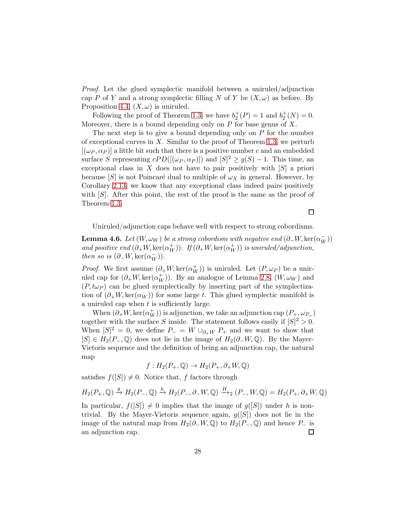Proof. Let the glued symplectic manifold between a uniruled/adjunction cap P of Y and a strong symplectic filling N of Y be  $(X,\omega)$  as before. By Proposition [4.4,](#page-26-0)  $(X, \omega)$  is uniruled.

Following the proof of Theorem [1.3,](#page-2-0) we have  $b_2^+(P) = 1$  and  $b_2^+(N) = 0$ . Moreover, there is a bound depending only on  $P$  for base genus of  $X$ .

The next step is to give a bound depending only on  $P$  for the number of exceptional curves in  $X$ . Similar to the proof of Theorem [1.3,](#page-2-0) we perturb  $[(\omega_P, \alpha_P)]$  a little bit such that there is a positive number c and an embedded surface S representing  $cPD([(\omega_P, \alpha_P)])$  and  $[S]^2 \ge g(S) - 1$ . This time, an exceptional class in  $X$  does not have to pair positively with  $[S]$  a priori because  $[S]$  is not Poincaré dual to multiple of  $\omega_X$  in general. However, by Corollary [2.13,](#page-12-1) we know that any exceptional class indeed pairs positively with  $[S]$ . After this point, the rest of the proof is the same as the proof of Theorem [1.3.](#page-2-0)

 $\Box$ 

Uniruled/adjunction caps behave well with respect to strong cobordisms.

<span id="page-27-0"></span>**Lemma 4.6.** Let  $(W, \omega_W)$  be a strong cobordism with negative end  $(\partial_- W, \ker(\alpha_W^-))$ and positive end  $(\partial_+W,\ker(\alpha_W^+))$ . If  $(\partial_+W,\ker(\alpha_W^+))$  is uniruled/adjunction, then so is  $(\partial_-W, \ker(\alpha_W^-))$ .

*Proof.* We first assume  $(\partial_+ W, \ker(\alpha_W^+))$  is uniruled. Let  $(P, \omega_P)$  be a uniruled cap for  $(\partial_+W,\ker(\alpha_W^+))$ . By an analogue of Lemma [2.8,](#page-9-0)  $(W,\omega_W)$  and  $(P, t\omega_P)$  can be glued symplectically by inserting part of the symplectization of  $(\partial_+W,\ker(\alpha_W))$  for some large t. This glued symplectic manifold is a uniruled cap when  $t$  is sufficiently large.

When  $(\partial_+W,\ker(\alpha_W^+))$  is adjunction, we take an adjunction cap  $(P_+,\omega_{P_+})$ together with the surface S inside. The statement follows easily if  $|S|^2 > 0$ . When  $[S]^2 = 0$ , we define  $P_- = W \cup_{\partial^+ W} P_+$  and we want to show that  $[S] \in H_2(P_-, \mathbb{Q})$  does not lie in the image of  $H_2(\partial_-W, \mathbb{Q})$ . By the Mayer-Vietoris sequence and the definition of being an adjunction cap, the natural map

$$
f: H_2(P_+, \mathbb{Q}) \to H_2(P_+, \partial_+ W, \mathbb{Q})
$$

satisfies  $f([S]) \neq 0$ . Notice that, f factors through

$$
H_2(P_+,\mathbb{Q}) \xrightarrow{g} H_2(P_-,\mathbb{Q}) \xrightarrow{h} H_2(P_-,\partial_-W,\mathbb{Q}) \xrightarrow{H} (P_-,W,\mathbb{Q}) = H_2(P_+,\partial_+W,\mathbb{Q})
$$

In particular,  $f([S]) \neq 0$  implies that the image of  $g([S])$  under h is nontrivial. By the Mayer-Vietoris sequence again,  $g([S])$  does not lie in the image of the natural map from  $H_2(\partial_-W, \mathbb{Q})$  to  $H_2(P_-, \mathbb{Q})$  and hence  $P_-$  is an adjunction cap.  $\Box$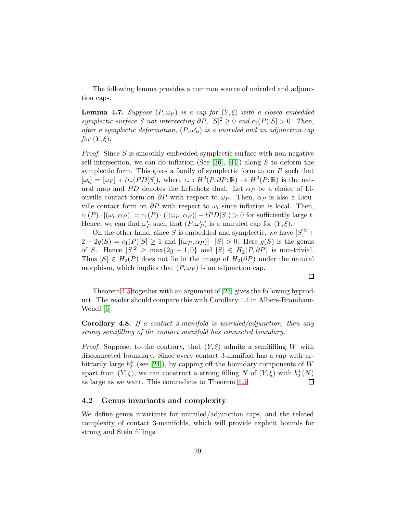The following lemma provides a common source of uniruled and adjunction caps.

<span id="page-28-1"></span>**Lemma 4.7.** Suppose  $(P, \omega_P)$  is a cap for  $(Y, \xi)$  with a closed embedded symplectic surface S not intersecting  $\partial P$ ,  $[S]^2 \geq 0$  and  $c_1(P)[S] > 0$ . Then, after a symplectic deformation,  $(P, \omega_P')$  is a uniruled and an adjunction cap for  $(Y, \xi)$ .

*Proof.* Since S is smoothly embedded symplectic surface with non-negative self-intersection, we can do inflation (See [\[36\]](#page-40-12), [\[44\]](#page-41-13)) along S to deform the symplectic form. This gives a family of symplectic form  $\omega_t$  on P such that  $[\omega_t] = [\omega_P] + t \iota_*(PD[S]),$  where  $\iota_* : H^2(P, \partial P; \mathbb{R}) \to H^2(P; \mathbb{R})$  is the natural map and PD denotes the Lefschetz dual. Let  $\alpha_P$  be a choice of Liouville contact form on  $\partial P$  with respect to  $\omega_P$ . Then,  $\alpha_P$  is also a Liouville contact form on  $\partial P$  with respect to  $\omega_t$  since inflation is local. Then,  $c_1(P) \cdot [(\omega_t, \alpha_P)] = c_1(P) \cdot ([(\omega_P, \alpha_P)] + tPD[S]) > 0$  for sufficiently large t. Hence, we can find  $\omega'_{P}$  such that  $(P, \omega'_{P})$  is a uniruled cap for  $(Y, \xi)$ .

On the other hand, since S is embedded and symplectic, we have  $[S]^2$  +  $2-2g(S) = c_1(P)[S] \ge 1$  and  $[(\omega_P, \alpha_P)] \cdot [S] > 0$ . Here  $g(S)$  is the genus of S. Hence  $[S]^2 \ge \max\{2g - 1, 0\}$  and  $[S] \in H_2(P, \partial P)$  is non-trivial. Thus  $[S] \in H_2(P)$  does not lie in the image of  $H_2(\partial P)$  under the natural morphism, which implies that  $(P, \omega_P)$  is an adjunction cap.

Theorem [4.5](#page-26-1) together with an argument of [\[23\]](#page-39-2) gives the following byproduct. The reader should compare this with Corollary 1.4 in Albers-Bramham-Wendl [\[6\]](#page-38-12).

 $\Box$ 

**Corollary 4.8.** If a contact 3-manifold is uniruled/adjunction, then any strong semifilling of the contact manifold has connected boundary.

*Proof.* Suppose, to the contrary, that  $(Y, \xi)$  admits a semifilling W with disconnected boundary. Since every contact 3-manifold has a cap with arbitrarily large  $b_2^+$  (see [\[24\]](#page-39-7)), by capping off the boundary components of W apart from  $(Y, \xi)$ , we can construct a strong filling N of  $(Y, \xi)$  with  $b_2^+(N)$ as large as we want. This contradicts to Theorem [4.5.](#page-26-1) □

### <span id="page-28-0"></span>4.2 Genus invariants and complexity

We define genus invariants for uniruled/adjunction caps, and the related complexity of contact 3-manifolds, which will provide explicit bounds for strong and Stein fillings.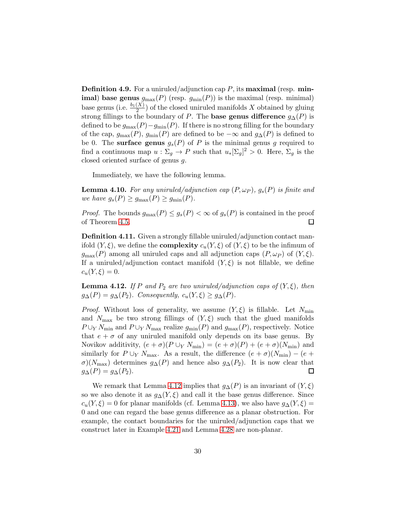**Definition 4.9.** For a uniruled/adjunction cap  $P$ , its **maximal** (resp. **minimal) base genus**  $g_{\text{max}}(P)$  (resp.  $g_{\text{min}}(P)$ ) is the maximal (resp. minimal) base genus (i.e.  $\frac{b_1(X)}{2}$ ) of the closed uniruled manifolds X obtained by gluing strong fillings to the boundary of P. The **base genus difference**  $g_{\Delta}(P)$  is defined to be  $g_{\text{max}}(P) - g_{\text{min}}(P)$ . If there is no strong filling for the boundary of the cap,  $g_{\text{max}}(P)$ ,  $g_{\text{min}}(P)$  are defined to be  $-\infty$  and  $g_{\Delta}(P)$  is defined to be 0. The surface genus  $g_s(P)$  of P is the minimal genus g required to find a continuous map  $u : \Sigma_g \to P$  such that  $u_*[\Sigma_g]^2 > 0$ . Here,  $\Sigma_g$  is the closed oriented surface of genus g.

Immediately, we have the following lemma.

**Lemma 4.10.** For any uniruled/adjunction cap  $(P, \omega_P)$ ,  $g_s(P)$  is finite and we have  $g_s(P) \ge g_{\text{max}}(P) \ge g_{\text{min}}(P)$ .

*Proof.* The bounds  $g_{\text{max}}(P) \leq g_s(P) < \infty$  of  $g_s(P)$  is contained in the proof of Theorem [4.5.](#page-26-1)  $\Box$ 

Definition 4.11. Given a strongly fillable uniruled/adjunction contact manifold  $(Y, \xi)$ , we define the **complexity**  $c_u(Y, \xi)$  of  $(Y, \xi)$  to be the infimum of  $g_{\text{max}}(P)$  among all uniruled caps and all adjunction caps  $(P, \omega_P)$  of  $(Y, \xi)$ . If a uniruled/adjunction contact manifold  $(Y, \xi)$  is not fillable, we define  $c_u(Y,\xi) = 0.$ 

<span id="page-29-0"></span>**Lemma 4.12.** If P and  $P_2$  are two uniruled/adjunction caps of  $(Y, \xi)$ , then  $g_{\Delta}(P) = g_{\Delta}(P_2)$ . Consequently,  $c_u(Y, \xi) \geq g_{\Delta}(P)$ .

*Proof.* Without loss of generality, we assume  $(Y, \xi)$  is fillable. Let  $N_{\text{min}}$ and  $N_{\text{max}}$  be two strong fillings of  $(Y, \xi)$  such that the glued manifolds  $P \cup_Y N_{\min}$  and  $P \cup_Y N_{\max}$  realize  $g_{\min}(P)$  and  $g_{\max}(P)$ , respectively. Notice that  $e + \sigma$  of any uniruled manifold only depends on its base genus. By Novikov additivity,  $(e + \sigma)(P \cup_Y N_{\min}) = (e + \sigma)(P) + (e + \sigma)(N_{\min})$  and similarly for  $P \cup_Y N_{\text{max}}$ . As a result, the difference  $(e + \sigma)(N_{\text{min}}) - (e +$  $\sigma$ )( $N_{\text{max}}$ ) determines  $g_{\Delta}(P)$  and hence also  $g_{\Delta}(P_2)$ . It is now clear that  $g_{\Delta}(P) = g_{\Delta}(P_2).$  $\Box$ 

We remark that Lemma [4.12](#page-29-0) implies that  $g_{\Delta}(P)$  is an invariant of  $(Y, \xi)$ so we also denote it as  $g_{\Delta}(Y, \xi)$  and call it the base genus difference. Since  $c_u(Y, \xi) = 0$  for planar manifolds (cf. Lemma [4.13\)](#page-30-0), we also have  $g_{\Delta}(Y, \xi) =$ 0 and one can regard the base genus difference as a planar obstruction. For example, the contact boundaries for the uniruled/adjunction caps that we construct later in Example [4.21](#page-33-0) and Lemma [4.28](#page-37-1) are non-planar.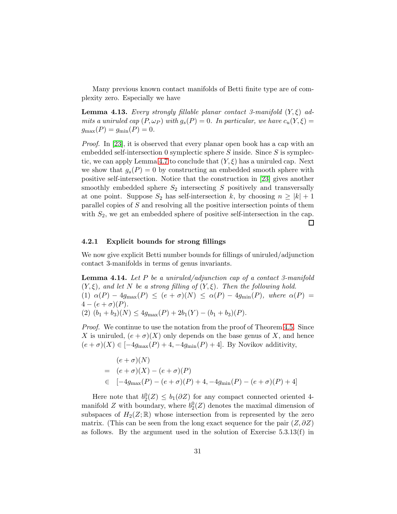Many previous known contact manifolds of Betti finite type are of complexity zero. Especially we have

<span id="page-30-0"></span>**Lemma 4.13.** Every strongly fillable planar contact 3-manifold  $(Y, \xi)$  admits a uniruled cap  $(P, \omega_P)$  with  $g_s(P) = 0$ . In particular, we have  $c_u(Y, \xi) =$  $g_{\text{max}}(P) = g_{\text{min}}(P) = 0.$ 

*Proof.* In [\[23\]](#page-39-2), it is observed that every planar open book has a cap with an embedded self-intersection 0 symplectic sphere  $S$  inside. Since  $S$  is symplec-tic, we can apply Lemma [4.7](#page-28-1) to conclude that  $(Y, \xi)$  has a uniruled cap. Next we show that  $g_s(P) = 0$  by constructing an embedded smooth sphere with positive self-intersection. Notice that the construction in [\[23\]](#page-39-2) gives another smoothly embedded sphere  $S_2$  intersecting S positively and transversally at one point. Suppose  $S_2$  has self-intersection k, by choosing  $n \geq |k| + 1$ parallel copies of S and resolving all the positive intersection points of them with  $S_2$ , we get an embedded sphere of positive self-intersection in the cap.  $\Box$ 

#### 4.2.1 Explicit bounds for strong fillings

We now give explicit Betti number bounds for fillings of uniruled/adjunction contact 3-manifolds in terms of genus invariants.

<span id="page-30-1"></span>**Lemma 4.14.** Let P be a uniruled/adjunction cap of a contact 3-manifold  $(Y, \xi)$ , and let N be a strong filling of  $(Y, \xi)$ . Then the following hold. (1)  $\alpha(P) - 4g_{\text{max}}(P) \leq (e + \sigma)(N) \leq \alpha(P) - 4g_{\text{min}}(P)$ , where  $\alpha(P) =$  $4 - (e + \sigma)(P)$ . (2)  $(b_1 + b_3)(N) \leq 4g_{\text{max}}(P) + 2b_1(Y) - (b_1 + b_3)(P)$ .

*Proof.* We continue to use the notation from the proof of Theorem [4.5.](#page-26-1) Since X is uniruled,  $(e + \sigma)(X)$  only depends on the base genus of X, and hence  $(e + \sigma)(X) \in [-4g_{\text{max}}(P) + 4, -4g_{\text{min}}(P) + 4]$ . By Novikov additivity,

$$
(e + \sigma)(N)
$$
  
=  $(e + \sigma)(X) - (e + \sigma)(P)$   
 $\in [-4g_{\text{max}}(P) - (e + \sigma)(P) + 4, -4g_{\text{min}}(P) - (e + \sigma)(P) + 4]$ 

Here note that  $b_2^0(Z) \leq b_1(\partial Z)$  for any compact connected oriented 4manifold Z with boundary, where  $b_2^0(Z)$  denotes the maximal dimension of subspaces of  $H_2(Z;\mathbb{R})$  whose intersection from is represented by the zero matrix. (This can be seen from the long exact sequence for the pair  $(Z, \partial Z)$ ) as follows. By the argument used in the solution of Exercise  $5.3.13(f)$  in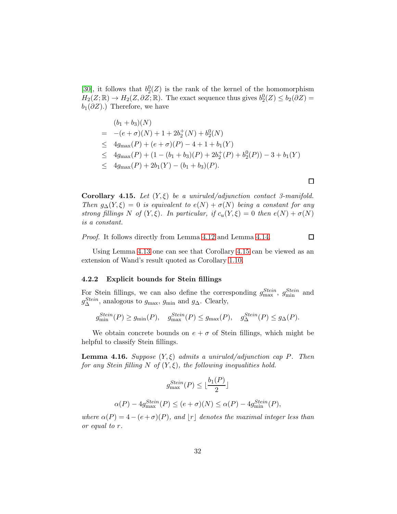[\[30\]](#page-40-9), it follows that  $b_2^0(Z)$  is the rank of the kernel of the homomorphism  $H_2(Z;\mathbb{R}) \to H_2(Z,\partial Z;\mathbb{R})$ . The exact sequence thus gives  $b_2^0(Z) \leq b_2(\partial Z) =$  $b_1(\partial Z)$ .) Therefore, we have

$$
(b_1 + b_3)(N)
$$
  
= -(e +  $\sigma$ )(N) + 1 + 2b<sub>2</sub><sup>+</sup>(N) + b<sub>2</sub><sup>0</sup>(N)  
 $\leq 4g_{\text{max}}(P) + (e + \sigma)(P) - 4 + 1 + b_1(Y)$   
 $\leq 4g_{\text{max}}(P) + (1 - (b_1 + b_3)(P) + 2b2+(P) + b20(P)) - 3 + b_1(Y)$   
 $\leq 4g_{\text{max}}(P) + 2b_1(Y) - (b_1 + b_3)(P).$ 

<span id="page-31-0"></span>Corollary 4.15. Let  $(Y, \xi)$  be a uniruled/adjunction contact 3-manifold. Then  $g_{\Delta}(Y,\xi) = 0$  is equivalent to  $e(N) + \sigma(N)$  being a constant for any strong fillings N of  $(Y, \xi)$ . In particular, if  $c_u(Y, \xi) = 0$  then  $e(N) + \sigma(N)$ is a constant.

Proof. It follows directly from Lemma [4.12](#page-29-0) and Lemma [4.14.](#page-30-1)

Using Lemma [4.13](#page-30-0) one can see that Corollary [4.15](#page-31-0) can be viewed as an extension of Wand's result quoted as Corollary [1.10.](#page-4-0)

#### 4.2.2 Explicit bounds for Stein fillings

For Stein fillings, we can also define the corresponding  $g_{\text{max}}^{Stein}$ ,  $g_{\text{min}}^{Stein}$  and  $g_{\Delta}^{Stein}$ , analogous to  $g_{\text{max}}$ ,  $g_{\text{min}}$  and  $g_{\Delta}$ . Clearly,

$$
g_{\min}^{Stein}(P) \ge g_{\min}(P), \quad g_{\max}^{Stein}(P) \le g_{\max}(P), \quad g_{\Delta}^{Stein}(P) \le g_{\Delta}(P).
$$

We obtain concrete bounds on  $e + \sigma$  of Stein fillings, which might be helpful to classify Stein fillings.

<span id="page-31-1"></span>**Lemma 4.16.** Suppose  $(Y, \xi)$  admits a uniruled/adjunction cap P. Then for any Stein filling N of  $(Y, \xi)$ , the following inequalities hold.

$$
g_{\max}^{Stein}(P) \le \lfloor \frac{b_1(P)}{2} \rfloor
$$
  

$$
\alpha(P) - 4g_{\max}^{Stein}(P) \le (e + \sigma)(N) \le \alpha(P) - 4g_{\min}^{Stein}(P),
$$

where  $\alpha(P) = 4 - (e + \sigma)(P)$ , and  $[r]$  denotes the maximal integer less than or equal to r.

 $\Box$ 

 $\Box$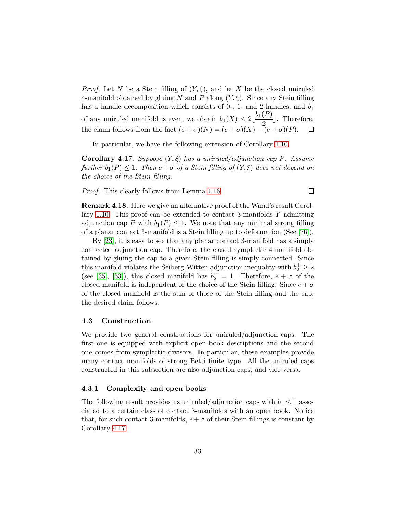*Proof.* Let N be a Stein filling of  $(Y, \xi)$ , and let X be the closed uniruled 4-manifold obtained by gluing N and P along  $(Y, \xi)$ . Since any Stein filling has a handle decomposition which consists of  $0$ -, 1- and 2-handles, and  $b_1$ of any uniruled manifold is even, we obtain  $b_1(X) \leq 2\lfloor \frac{b_1(P)}{2} \rfloor$  $\left(\frac{1}{2}\right)$ . Therefore, the claim follows from the fact  $(e + \sigma)(N) = (e + \sigma)(X) - (e + \sigma)(P)$ .

In particular, we have the following extension of Corollary [1.10.](#page-4-0)

<span id="page-32-0"></span>**Corollary 4.17.** Suppose  $(Y, \xi)$  has a uniruled/adjunction cap P. Assume further  $b_1(P) \leq 1$ . Then  $e + \sigma$  of a Stein filling of  $(Y, \xi)$  does not depend on the choice of the Stein filling.

 $\Box$ 

Proof. This clearly follows from Lemma [4.16.](#page-31-1)

Remark 4.18. Here we give an alternative proof of the Wand's result Corol-lary [1.10.](#page-4-0) This proof can be extended to contact 3-manifolds  $Y$  admitting adjunction cap P with  $b_1(P) \leq 1$ . We note that any minimal strong filling of a planar contact 3-manifold is a Stein filling up to deformation (See [\[76\]](#page-43-1)).

By [\[23\]](#page-39-2), it is easy to see that any planar contact 3-manifold has a simply connected adjunction cap. Therefore, the closed symplectic 4-manifold obtained by gluing the cap to a given Stein filling is simply connected. Since this manifold violates the Seiberg-Witten adjunction inequality with  $b_2^+ \geq 2$ (see [\[35\]](#page-40-11), [\[53\]](#page-41-11)), this closed manifold has  $b_2^+ = 1$ . Therefore,  $e + \sigma$  of the closed manifold is independent of the choice of the Stein filling. Since  $e + \sigma$ of the closed manifold is the sum of those of the Stein filling and the cap, the desired claim follows.

#### 4.3 Construction

We provide two general constructions for uniruled/adjunction caps. The first one is equipped with explicit open book descriptions and the second one comes from symplectic divisors. In particular, these examples provide many contact manifolds of strong Betti finite type. All the uniruled caps constructed in this subsection are also adjunction caps, and vice versa.

#### 4.3.1 Complexity and open books

The following result provides us uniruled/adjunction caps with  $b_1 \leq 1$  associated to a certain class of contact 3-manifolds with an open book. Notice that, for such contact 3-manifolds,  $e+\sigma$  of their Stein fillings is constant by Corollary [4.17.](#page-32-0)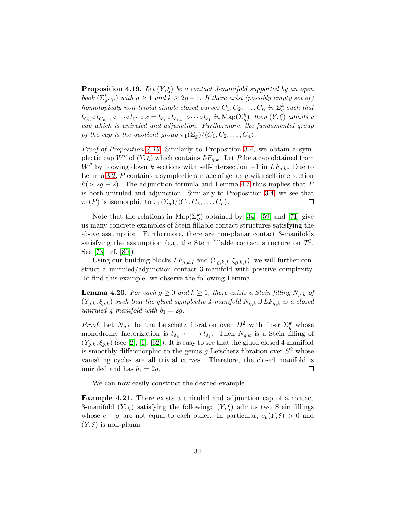<span id="page-33-1"></span>**Proposition 4.19.** Let  $(Y, \xi)$  be a contact 3-manifold supported by an open book  $(\Sigma_g^k, \varphi)$  with  $g \ge 1$  and  $k \ge 2g-1$ . If there exist (possibly empty set of) homotopicaly non-trivial simple closed curves  $C_1, C_2, \ldots, C_n$  in  $\Sigma_g^k$  such that  $tc_n \circ tc_{n-1} \circ \cdots \circ tc_1 \circ \varphi = t_{\delta_k} \circ t_{\delta_{k-1}} \circ \cdots \circ t_{\delta_1} \text{ in Map}(\Sigma_g^k)$ , then  $(Y, \xi)$  admits a cap which is uniruled and adjunction. Furthermore, the fundamental group of the cap is the quotient group  $\pi_1(\Sigma_q)/\langle C_1, C_2, \ldots, C_n\rangle$ .

Proof of Proposition [4.19.](#page-33-1) Similarly to Proposition [3.4,](#page-22-0) we obtain a symplectic cap  $W''$  of  $(Y, \xi)$  which contains  $LF_{q,k}$ . Let P be a cap obtained from W'' by blowing down k sections with self-intersection  $-1$  in  $LF_{q,k}$ . Due to Lemma [3.2,](#page-21-0)  $P$  contains a symplectic surface of genus  $q$  with self-intersection  $k(> 2q-2)$ . The adjunction formula and Lemma [4.7](#page-28-1) thus implies that P is both uniruled and adjunction. Similarly to Proposition [3.4,](#page-22-0) we see that  $\pi_1(P)$  is isomorphic to  $\pi_1(\Sigma_q)/\langle C_1, C_2, \ldots, C_n\rangle$ . □

Note that the relations in  $\text{Map}(\Sigma_g^k)$  obtained by [\[34\]](#page-40-13), [\[59\]](#page-42-13) and [\[71\]](#page-43-8) give us many concrete examples of Stein fillable contact structures satisfying the above assumption. Furthermore, there are non-planar contact 3-manifolds satisfying the assumption (e.g. the Stein fillable contact structure on  $T^3$ . See [\[73\]](#page-43-9). cf. [\[80\]](#page-43-0))

Using our building blocks  $LF_{q,k,I}$  and  $(Y_{q,k,I}, \xi_{q,k,I})$ , we will further construct a uniruled/adjunction contact 3-manifold with positive complexity. To find this example, we observe the following Lemma.

<span id="page-33-2"></span>**Lemma 4.20.** For each  $g \geq 0$  and  $k \geq 1$ , there exists a Stein filling  $N_{g,k}$  of  $(Y_{g,k}, \xi_{g,k})$  such that the glued symplectic 4-manifold  $N_{g,k} \cup LF_{g,k}$  is a closed uniruled 4-manifold with  $b_1 = 2g$ .

*Proof.* Let  $N_{g,k}$  be the Lefschetz fibration over  $D^2$  with fiber  $\Sigma_g^k$  whose monodromy factorization is  $t_{\delta_k} \circ \cdots \circ t_{\delta_1}$ . Then  $N_{g,k}$  is a Stein filling of  $(Y_{q,k}, \xi_{q,k})$  (see [\[2\]](#page-37-2), [\[1\]](#page-37-0), [\[62\]](#page-42-5)). It is easy to see that the glued closed 4-manifold is smoothly diffeomorphic to the genus g Lefschetz fibration over  $S^2$  whose vanishing cycles are all trivial curves. Therefore, the closed manifold is uniruled and has  $b_1 = 2g$ .  $\Box$ 

We can now easily construct the desired example.

<span id="page-33-0"></span>Example 4.21. There exists a uniruled and adjunction cap of a contact 3-manifold  $(Y, \xi)$  satisfying the following:  $(Y, \xi)$  admits two Stein fillings whose  $e + \sigma$  are not equal to each other. In particular,  $c_u(Y,\xi) > 0$  and  $(Y, \xi)$  is non-planar.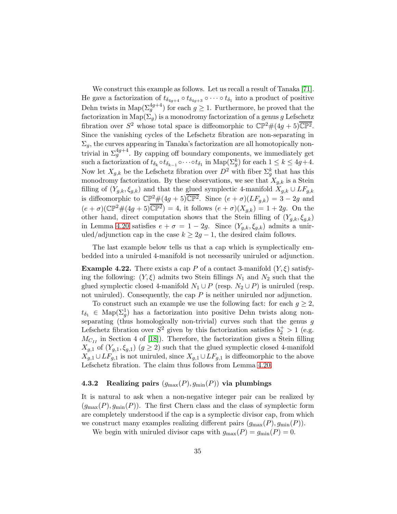We construct this example as follows. Let us recall a result of Tanaka [\[71\]](#page-43-8). He gave a factorization of  $t_{\delta_{4g+4}} \circ t_{\delta_{4g+3}} \circ \cdots \circ t_{\delta_1}$  into a product of positive Dehn twists in  $\text{Map}(\Sigma_g^{4g+4})$  for each  $g \geq 1$ . Furthermore, he proved that the factorization in Map( $\Sigma_q$ ) is a monodromy factorization of a genus g Lefschetz fibration over  $S^2$  whose total space is diffeomorphic to  $\mathbb{CP}^2\#(4g+5)\overline{\mathbb{CP}^2}$ . Since the vanishing cycles of the Lefschetz fibration are non-separating in  $\Sigma_q$ , the curves appearing in Tanaka's factorization are all homotopically nontrivial in  $\Sigma_g^{4g+4}$ . By capping off boundary components, we immediately get such a factorization of  $t_{\delta_k} \circ t_{\delta_{k-1}} \circ \cdots \circ t_{\delta_1}$  in  $\text{Map}(\Sigma_g^k)$  for each  $1 \leq k \leq 4g+4$ . Now let  $X_{g,k}$  be the Lefschetz fibration over  $D^2$  with fiber  $\Sigma_g^k$  that has this monodromy factorization. By these observations, we see that  $X_{q,k}$  is a Stein filling of  $(Y_{g,k}, \xi_{g,k})$  and that the glued symplectic 4-manifold  $X_{g,k} \cup LF_{g,k}$ is diffeomorphic to  $\mathbb{CP}^2\#(4g+5)\overline{\mathbb{CP}^2}$ . Since  $(e+\sigma)(LF_{g,k})=3-2g$  and  $(e + \sigma)(\mathbb{CP}^2 \# (4g + 5) \overline{\mathbb{CP}^2}) = 4$ , it follows  $(e + \sigma)(X_{g,k}) = 1 + 2g$ . On the other hand, direct computation shows that the Stein filling of  $(Y_{q,k}, \xi_{q,k})$ in Lemma [4.20](#page-33-2) satisfies  $e + \sigma = 1 - 2g$ . Since  $(Y_{g,k}, \xi_{g,k})$  admits a uniruled/adjunction cap in the case  $k \geq 2g - 1$ , the desired claim follows.

The last example below tells us that a cap which is symplectically embedded into a uniruled 4-manifold is not necessarily uniruled or adjunction.

**Example 4.22.** There exists a cap P of a contact 3-manifold  $(Y, \xi)$  satisfying the following:  $(Y, \xi)$  admits two Stein fillings  $N_1$  and  $N_2$  such that the glued symplectic closed 4-manifold  $N_1 \cup P$  (resp.  $N_2 \cup P$ ) is uniruled (resp. not uniruled). Consequently, the cap  $P$  is neither uniruled nor adjunction.

To construct such an example we use the following fact: for each  $q \geq 2$ ,  $t_{\delta_1} \in \text{Map}(\Sigma_g^1)$  has a factorization into positive Dehn twists along nonseparating (thus homologically non-trivial) curves such that the genus  $g$ Lefschetz fibration over  $S^2$  given by this factorization satisfies  $b_2^+ > 1$  (e.g.  $M_{C_{II}}$  in Section 4 of [\[18\]](#page-39-11)). Therefore, the factorization gives a Stein filling  $X_{g,1}$  of  $(Y_{g,1}, \xi_{g,1})$   $(g \geq 2)$  such that the glued symplectic closed 4-manifold  $X_{q,1} \cup LF_{q,1}$  is not uniruled, since  $X_{q,1} \cup LF_{q,1}$  is diffeomorphic to the above Lefschetz fibration. The claim thus follows from Lemma [4.20.](#page-33-2)

# 4.3.2 Realizing pairs  $(g_{\text{max}}(P), g_{\text{min}}(P))$  via plumbings

It is natural to ask when a non-negative integer pair can be realized by  $(g_{\text{max}}(P), g_{\text{min}}(P))$ . The first Chern class and the class of symplectic form are completely understood if the cap is a symplectic divisor cap, from which we construct many examples realizing different pairs  $(g_{\text{max}}(P), g_{\text{min}}(P)).$ 

We begin with uniruled divisor caps with  $g_{\text{max}}(P) = g_{\text{min}}(P) = 0$ .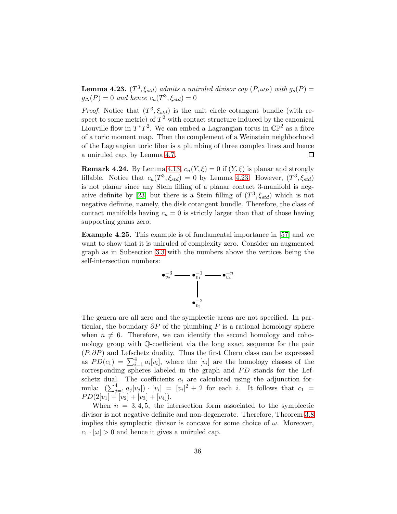<span id="page-35-0"></span>**Lemma 4.23.**  $(T^3, \xi_{std})$  admits a uniruled divisor cap  $(P, \omega_P)$  with  $g_s(P)$  =  $g_{\Delta}(P) = 0$  and hence  $c_u(T^3, \xi_{std}) = 0$ 

*Proof.* Notice that  $(T^3, \xi_{std})$  is the unit circle cotangent bundle (with respect to some metric) of  $T^2$  with contact structure induced by the canonical Liouville flow in  $T^*T^2$ . We can embed a Lagrangian torus in  $\mathbb{CP}^2$  as a fibre of a toric moment map. Then the complement of a Weinstein neighborhood of the Lagrangian toric fiber is a plumbing of three complex lines and hence a uniruled cap, by Lemma [4.7.](#page-28-1) □

**Remark 4.24.** By Lemma [4.13,](#page-30-0)  $c_u(Y, \xi) = 0$  if  $(Y, \xi)$  is planar and strongly fillable. Notice that  $c_u(T^3, \xi_{std}) = 0$  by Lemma [4.23.](#page-35-0) However,  $(T^3, \xi_{std})$ is not planar since any Stein filling of a planar contact 3-manifold is neg-ative definite by [\[23\]](#page-39-2) but there is a Stein filling of  $(T^3, \xi_{std})$  which is not negative definite, namely, the disk cotangent bundle. Therefore, the class of contact manifolds having  $c_u = 0$  is strictly larger than that of those having supporting genus zero.

<span id="page-35-1"></span>Example 4.25. This example is of fundamental importance in [\[57\]](#page-42-2) and we want to show that it is uniruled of complexity zero. Consider an augmented graph as in Subsection [3.3](#page-23-0) with the numbers above the vertices being the self-intersection numbers:



The genera are all zero and the symplectic areas are not specified. In particular, the boundary  $\partial P$  of the plumbing P is a rational homology sphere when  $n \neq 6$ . Therefore, we can identify the second homology and cohomology group with Q-coefficient via the long exact sequence for the pair  $(P, \partial P)$  and Lefschetz duality. Thus the first Chern class can be expressed as  $PD(c_1) = \sum_{i=1}^4 a_i[v_i]$ , where the  $[v_i]$  are the homology classes of the corresponding spheres labeled in the graph and  $PD$  stands for the Lefschetz dual. The coefficients  $a_i$  are calculated using the adjunction formula:  $\left(\sum_{j=1}^4 a_j[v_j]\right) \cdot [v_i] = [v_i]^2 + 2$  for each *i*. It follows that  $c_1 =$  $PD(2[v_1] + [v_2] + [v_3] + [v_4]).$ 

When  $n = 3, 4, 5$ , the intersection form associated to the symplectic divisor is not negative definite and non-degenerate. Therefore, Theorem [3.8](#page-24-0) implies this symplectic divisor is concave for some choice of  $\omega$ . Moreover,  $c_1 \cdot [\omega] > 0$  and hence it gives a uniruled cap.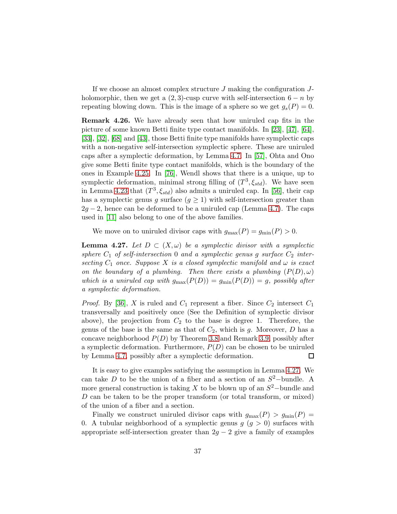If we choose an almost complex structure  $J$  making the configuration  $J$ holomorphic, then we get a  $(2,3)$ -cusp curve with self-intersection  $6 - n$  by repeating blowing down. This is the image of a sphere so we get  $g_s(P) = 0$ .

<span id="page-36-0"></span>Remark 4.26. We have already seen that how uniruled cap fits in the picture of some known Betti finite type contact manifolds. In [\[23\]](#page-39-2), [\[47\]](#page-41-1), [\[64\]](#page-42-0), [\[33\]](#page-40-0), [\[32\]](#page-40-2), [\[68\]](#page-42-1) and [\[43\]](#page-41-2), those Betti finite type manifolds have symplectic caps with a non-negative self-intersection symplectic sphere. These are uniruled caps after a symplectic deformation, by Lemma [4.7.](#page-28-1) In [\[57\]](#page-42-2), Ohta and Ono give some Betti finite type contact manifolds, which is the boundary of the ones in Example [4.25.](#page-35-1) In [\[76\]](#page-43-1), Wendl shows that there is a unique, up to symplectic deformation, minimal strong filling of  $(T^3, \xi_{std})$ . We have seen in Lemma [4.23](#page-35-0) that  $(T^3, \xi_{std})$  also admits a uniruled cap. In [\[56\]](#page-41-4), their cap has a symplectic genus g surface  $(g \geq 1)$  with self-intersection greater than  $2g - 2$ , hence can be deformed to be a uniruled cap (Lemma [4.7\)](#page-28-1). The caps used in [\[11\]](#page-38-0) also belong to one of the above families.

We move on to uniruled divisor caps with  $g_{\text{max}}(P) = g_{\text{min}}(P) > 0$ .

<span id="page-36-1"></span>**Lemma 4.27.** Let  $D \subset (X, \omega)$  be a symplectic divisor with a symplectic sphere  $C_1$  of self-intersection 0 and a symplectic genus g surface  $C_2$  intersecting  $C_1$  once. Suppose X is a closed symplectic manifold and  $\omega$  is exact on the boundary of a plumbing. Then there exists a plumbing  $(P(D), \omega)$ which is a uniruled cap with  $g_{\text{max}}(P(D)) = g_{\text{min}}(P(D)) = g$ , possibly after a symplectic deformation.

*Proof.* By [\[36\]](#page-40-12), X is ruled and  $C_1$  represent a fiber. Since  $C_2$  intersect  $C_1$ transversally and positively once (See the Definition of symplectic divisor above), the projection from  $C_2$  to the base is degree 1. Therefore, the genus of the base is the same as that of  $C_2$ , which is g. Moreover, D has a concave neighborhood  $P(D)$  by Theorem [3.8](#page-24-0) and Remark [3.9,](#page-24-1) possibly after a symplectic deformation. Furthermore,  $P(D)$  can be chosen to be uniruled by Lemma [4.7,](#page-28-1) possibly after a symplectic deformation.  $\Box$ 

It is easy to give examples satisfying the assumption in Lemma [4.27.](#page-36-1) We can take D to be the union of a fiber and a section of an  $S^2$ -bundle. A more general construction is taking X to be blown up of an  $S^2$ -bundle and D can be taken to be the proper transform (or total transform, or mixed) of the union of a fiber and a section.

Finally we construct uniruled divisor caps with  $g_{\text{max}}(P) > g_{\text{min}}(P)$ 0. A tubular neighborhood of a symplectic genus  $g\ (g > 0)$  surfaces with appropriate self-intersection greater than  $2g - 2$  give a family of examples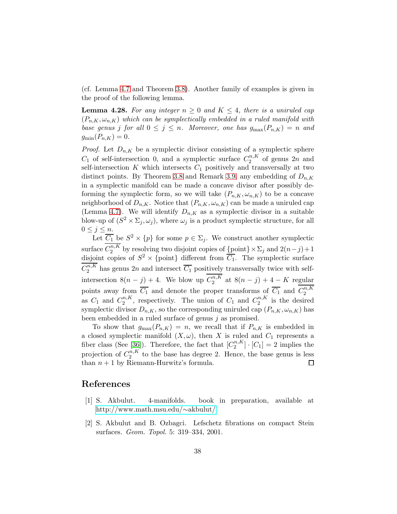(cf. Lemma [4.7](#page-28-1) and Theorem [3.8\)](#page-24-0). Another family of examples is given in the proof of the following lemma.

<span id="page-37-1"></span>**Lemma 4.28.** For any integer  $n \geq 0$  and  $K \leq 4$ , there is a uniruled cap  $(P_{n,K}, \omega_{n,K})$  which can be symplectically embedded in a ruled manifold with base genus j for all  $0 \le j \le n$ . Moreover, one has  $g_{\text{max}}(P_{n,K}) = n$  and  $g_{\min}(P_{n,K}) = 0.$ 

*Proof.* Let  $D_{n,K}$  be a symplectic divisor consisting of a symplectic sphere  $C_1$  of self-intersection 0, and a symplectic surface  $C_2^{n,K}$  $n^{n,\mathbf{A}}_2$  of genus  $2n$  and self-intersection  $K$  which intersects  $C_1$  positively and transversally at two distinct points. By Theorem [3.8](#page-24-0) and Remark [3.9,](#page-24-1) any embedding of  $D_{n,K}$ in a symplectic manifold can be made a concave divisor after possibly deforming the symplectic form, so we will take  $(P_{n,K}, \omega_{n,K})$  to be a concave neighborhood of  $D_{n,K}$ . Notice that  $(P_{n,K}, \omega_{n,K})$  can be made a uniruled cap (Lemma [4.7\)](#page-28-1). We will identify  $D_{n,K}$  as a symplectic divisor in a suitable blow-up of  $(S^2 \times \Sigma_j, \omega_j)$ , where  $\omega_j$  is a product symplectic structure, for all  $0 \leq j \leq n$ .

Let  $\overline{C_1}$  be  $S^2 \times \{p\}$  for some  $p \in \Sigma_j$ . We construct another symplectic surface  $C_2^{n,K}$  $\sum_{j=2}^{n,\mathbf{A}}$  by resolving two disjoint copies of  $\{\text{point}\}\times\Sigma_j$  and  $2(n-j)+1$ disjoint copies of  $S^2 \times \{\text{point}\}\$  different from  $\overline{C_1}$ . The symplectic surface  $C_2^{n,K}$  $n_A^{n,R}$  has genus 2n and intersect  $C_1$  positively transversally twice with selfintersection  $8(n-j) + 4$ . We blow up  $C_2^{n,K}$  $a_2^{n,\mathbf{A}}$  at  $8(n-j)+4-K$  regular points away from  $\overline{C_1}$  and denote the proper transforms of  $\overline{C_1}$  and  $C_2^{n,K}$ 2 as  $C_1$  and  $C_2^{n,K}$  $n,K \choose 2$ , respectively. The union of  $C_1$  and  $C_2^{n,K}$  $i^{n,\mathbf{A}}_2$  is the desired symplectic divisor  $D_{n,K}$ , so the corresponding uniruled cap  $(P_{n,K}, \omega_{n,K})$  has been embedded in a ruled surface of genus  $j$  as promised.

To show that  $g_{\text{max}}(P_{n,K}) = n$ , we recall that if  $P_{n,K}$  is embedded in a closed symplectic manifold  $(X, \omega)$ , then X is ruled and  $C_1$  represents a fiber class (See [\[36\]](#page-40-12)). Therefore, the fact that  $[C_2^{n,K}]$  $\binom{n,\kappa}{2} \cdot [C_1] = 2$  implies the projection of  $C_2^{n,K}$  $n_A^{n,R}$  to the base has degree 2. Hence, the base genus is less than  $n + 1$  by Riemann-Hurwitz's formula. □

# <span id="page-37-0"></span>References

- <span id="page-37-2"></span>[1] S. Akbulut. 4-manifolds. book in preparation, available at [http://www.math.msu.edu/](http://www.math.msu.edu/~akbulut/)∼akbulut/
- [2] S. Akbulut and B. Ozbagci. Lefschetz fibrations on compact Stein surfaces. Geom. Topol. 5: 319–334, 2001.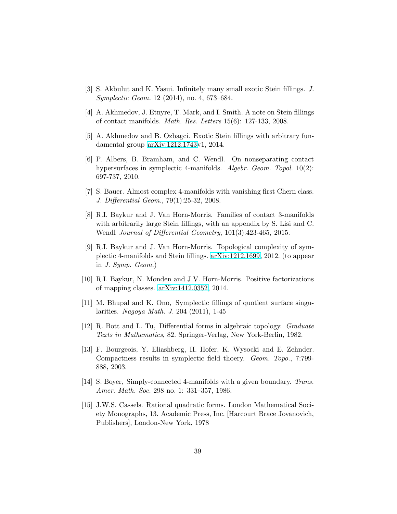- <span id="page-38-3"></span><span id="page-38-2"></span>[3] S. Akbulut and K. Yasui. Infinitely many small exotic Stein fillings. J. Symplectic Geom. 12 (2014), no. 4, 673–684.
- <span id="page-38-6"></span>[4] A. Akhmedov, J. Etnyre, T. Mark, and I. Smith. A note on Stein fillings of contact manifolds. Math. Res. Letters 15(6): 127-133, 2008.
- <span id="page-38-12"></span>[5] A. Akhmedov and B. Ozbagci. Exotic Stein fillings with arbitrary fundamental group [arXiv:1212.1743v](http://arxiv.org/abs/1212.1743)1, 2014.
- [6] P. Albers, B. Bramham, and C. Wendl. On nonseparating contact hypersurfaces in symplectic 4-manifolds. Algebr. Geom. Topol. 10(2): 697-737, 2010.
- <span id="page-38-7"></span>[7] S. Bauer. Almost complex 4-manifolds with vanishing first Chern class. J. Differential Geom., 79(1):25-32, 2008.
- <span id="page-38-1"></span>[8] R.I. Baykur and J. Van Horn-Morris. Families of contact 3-manifolds with arbitrarily large Stein fillings, with an appendix by S. Lisi and C. Wendl Journal of Differential Geometry, 101(3):423-465, 2015.
- <span id="page-38-4"></span>[9] R.I. Baykur and J. Van Horn-Morris. Topological complexity of symplectic 4-manifolds and Stein fillings. [arXiv:1212.1699,](http://arxiv.org/abs/1212.1699) 2012. (to appear in J. Symp. Geom.)
- <span id="page-38-5"></span><span id="page-38-0"></span>[10] R.I. Baykur, N. Monden and J.V. Horn-Morris. Positive factorizations of mapping classes. [arXiv:1412.0352,](http://arxiv.org/abs/1412.0352) 2014.
- <span id="page-38-8"></span>[11] M. Bhupal and K. Ono, Symplectic fillings of quotient surface singularities. Nagoya Math. J. 204 (2011), 1-45
- <span id="page-38-9"></span>[12] R. Bott and L. Tu, Differential forms in algebraic topology. Graduate Texts in Mathematics, 82. Springer-Verlag, New York-Berlin, 1982.
- [13] F. Bourgeois, Y. Eliashberg, H. Hofer, K. Wysocki and E. Zehnder. Compactness results in symplectic field thoery. Geom. Topo., 7:799- 888, 2003.
- <span id="page-38-11"></span><span id="page-38-10"></span>[14] S. Boyer, Simply-connected 4-manifolds with a given boundary. Trans. Amer. Math. Soc. 298 no. 1: 331–357, 1986.
- [15] J.W.S. Cassels. Rational quadratic forms. London Mathematical Society Monographs, 13. Academic Press, Inc. [Harcourt Brace Jovanovich, Publishers], London-New York, 1978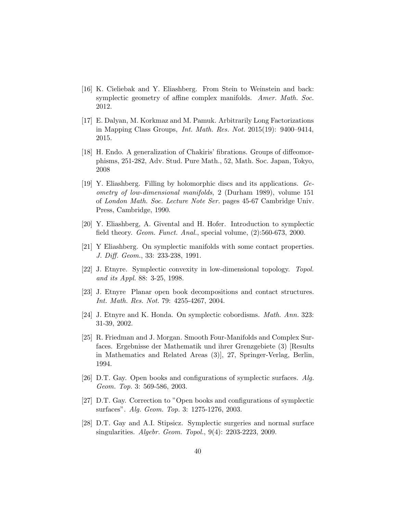- <span id="page-39-6"></span>[16] K. Cieliebak and Y. Eliashberg. From Stein to Weinstein and back: symplectic geometry of affine complex manifolds. Amer. Math. Soc. 2012.
- <span id="page-39-1"></span>[17] E. Dalyan, M. Korkmaz and M. Pamuk. Arbitrarily Long Factorizations in Mapping Class Groups, Int. Math. Res. Not. 2015(19): 9400–9414, 2015.
- <span id="page-39-11"></span>[18] H. Endo. A generalization of Chakiris' fibrations. Groups of diffeomorphisms, 251-282, Adv. Stud. Pure Math., 52, Math. Soc. Japan, Tokyo, 2008
- [19] Y. Eliashberg. Filling by holomorphic discs and its applications. Geometry of low-dimensional manifolds, 2 (Durham 1989), volume 151 of London Math. Soc. Lecture Note Ser. pages 45-67 Cambridge Univ. Press, Cambridge, 1990.
- <span id="page-39-5"></span><span id="page-39-0"></span>[20] Y. Eliashberg, A. Givental and H. Hofer. Introduction to symplectic field theory. Geom. Funct. Anal., special volume, (2):560-673, 2000.
- <span id="page-39-4"></span>[21] Y Eliashberg. On symplectic manifolds with some contact properties. J. Diff. Geom., 33: 233-238, 1991.
- <span id="page-39-2"></span>[22] J. Etnyre. Symplectic convexity in low-dimensional topology. Topol. and its Appl. 88: 3-25, 1998.
- <span id="page-39-7"></span>[23] J. Etnyre Planar open book decompositions and contact structures. Int. Math. Res. Not. 79: 4255-4267, 2004.
- <span id="page-39-3"></span>[24] J. Etnyre and K. Honda. On symplectic cobordisms. Math. Ann. 323: 31-39, 2002.
- [25] R. Friedman and J. Morgan. Smooth Four-Manifolds and Complex Surfaces. Ergebnisse der Mathematik und ihrer Grenzgebiete (3) [Results in Mathematics and Related Areas (3)], 27, Springer-Verlag, Berlin, 1994.
- <span id="page-39-8"></span>[26] D.T. Gay. Open books and configurations of symplectic surfaces. Alg. Geom. Top. 3: 569-586, 2003.
- <span id="page-39-10"></span><span id="page-39-9"></span>[27] D.T. Gay. Correction to "Open books and configurations of symplectic surfaces". Alg. Geom. Top. 3: 1275-1276, 2003.
- [28] D.T. Gay and A.I. Stipsicz. Symplectic surgeries and normal surface singularities. Algebr. Geom. Topol., 9(4): 2203-2223, 2009.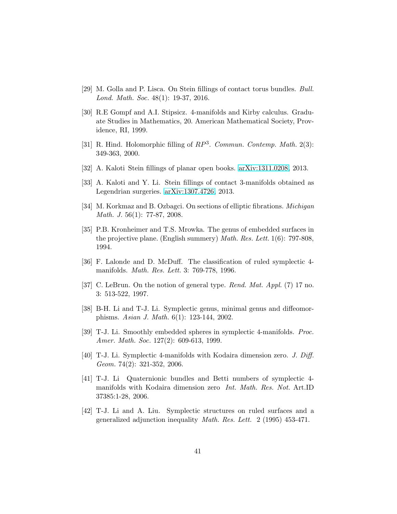- <span id="page-40-9"></span><span id="page-40-1"></span>[29] M. Golla and P. Lisca. On Stein fillings of contact torus bundles. Bull. Lond. Math. Soc. 48(1): 19-37, 2016.
- [30] R.E Gompf and A.I. Stipsicz. 4-manifolds and Kirby calculus. Graduate Studies in Mathematics, 20. American Mathematical Society, Providence, RI, 1999.
- <span id="page-40-3"></span>[31] R. Hind. Holomorphic filling of  $RP^3$ . Commun. Contemp. Math. 2(3): 349-363, 2000.
- <span id="page-40-2"></span><span id="page-40-0"></span>[32] A. Kaloti Stein fillings of planar open books. [arXiv:1311.0208,](http://arxiv.org/abs/1311.0208) 2013.
- <span id="page-40-13"></span>[33] A. Kaloti and Y. Li. Stein fillings of contact 3-manifolds obtained as Legendrian surgeries. [arXiv:1307.4726,](http://arxiv.org/abs/1307.4726) 2013.
- <span id="page-40-11"></span>[34] M. Korkmaz and B. Ozbagci. On sections of elliptic fibrations. Michigan Math. J. 56(1): 77-87, 2008.
- [35] P.B. Kronheimer and T.S. Mrowka. The genus of embedded surfaces in the projective plane. (English summery) Math. Res. Lett. 1(6): 797-808, 1994.
- <span id="page-40-12"></span>[36] F. Lalonde and D. McDuff. The classification of ruled symplectic 4 manifolds. Math. Res. Lett. 3: 769-778, 1996.
- <span id="page-40-10"></span><span id="page-40-7"></span>[37] C. LeBrun. On the notion of general type. *Rend. Mat. Appl.* (7) 17 no. 3: 513-522, 1997.
- <span id="page-40-5"></span>[38] B-H. Li and T-J. Li. Symplectic genus, minimal genus and diffeomorphisms. Asian J. Math. 6(1): 123-144, 2002.
- <span id="page-40-6"></span>[39] T-J. Li. Smoothly embedded spheres in symplectic 4-manifolds. Proc. Amer. Math. Soc. 127(2): 609-613, 1999.
- [40] T-J. Li. Symplectic 4-manifolds with Kodaira dimension zero. J. Diff. Geom. 74(2): 321-352, 2006.
- <span id="page-40-8"></span>[41] T-J. Li Quaternionic bundles and Betti numbers of symplectic 4 manifolds with Kodaira dimension zero Int. Math. Res. Not. Art.ID 37385:1-28, 2006.
- <span id="page-40-4"></span>[42] T-J. Li and A. Liu. Symplectic structures on ruled surfaces and a generalized adjunction inequality Math. Res. Lett. 2 (1995) 453-471.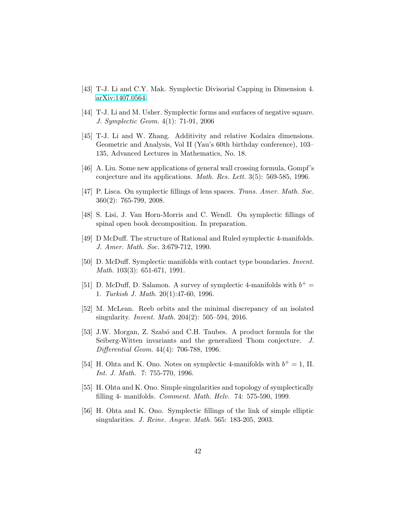- <span id="page-41-13"></span><span id="page-41-2"></span>[43] T-J. Li and C.Y. Mak. Symplectic Divisorial Capping in Dimension 4. [arXiv:1407.0564.](http://arxiv.org/abs/1407.0564)
- <span id="page-41-9"></span>[44] T-J. Li and M. Usher. Symplectic forms and surfaces of negative square. J. Symplectic Geom. 4(1): 71-91, 2006
- [45] T-J. Li and W. Zhang. Additivity and relative Kodaira dimensions. Geometric and Analysis, Vol II (Yau's 60th birthday conference), 103– 135, Advanced Lectures in Mathematics, No. 18.
- <span id="page-41-7"></span><span id="page-41-1"></span>[46] A. Liu. Some new applications of general wall crossing formula, Gompf's conjecture and its applications. Math. Res. Lett. 3(5): 569-585, 1996.
- [47] P. Lisca. On symplectic fillings of lens spaces. Trans. Amer. Math. Soc. 360(2): 765-799, 2008.
- <span id="page-41-5"></span><span id="page-41-0"></span>[48] S. Lisi, J. Van Horn-Morris and C. Wendl. On symplectic fillings of spinal open book decomposition. In preparation.
- <span id="page-41-12"></span>[49] D McDuff. The structure of Rational and Ruled symplectic 4-manifolds. J. Amer. Math. Soc. 3:679-712, 1990.
- [50] D. McDuff. Symplectic manifolds with contact type boundaries. Invent. Math. 103(3): 651-671, 1991.
- <span id="page-41-6"></span>[51] D. McDuff, D. Salamon. A survey of symplectic 4-manifolds with  $b^+$  = 1. Turkish J. Math. 20(1):47-60, 1996.
- <span id="page-41-10"></span>[52] M. McLean. Reeb orbits and the minimal discrepancy of an isolated singularity. Invent. Math. 204(2): 505–594, 2016.
- <span id="page-41-11"></span>[53] J.W. Morgan, Z. Szabó and C.H. Taubes. A product formula for the Seiberg-Witten invariants and the generalized Thom conjecture. J. Differential Geom. 44(4): 706-788, 1996.
- <span id="page-41-8"></span>[54] H. Ohta and K. Ono. Notes on symplectic 4-manifolds with  $b^+=1$ , II. Int. J. Math. 7: 755-770, 1996.
- <span id="page-41-4"></span><span id="page-41-3"></span>[55] H. Ohta and K. Ono. Simple singularities and topology of symplectically filling 4- manifolds. Comment. Math. Helv. 74: 575-590, 1999.
- [56] H. Ohta and K. Ono. Symplectic fillings of the link of simple elliptic singularities. J. Reine. Angew. Math. 565: 183-205, 2003.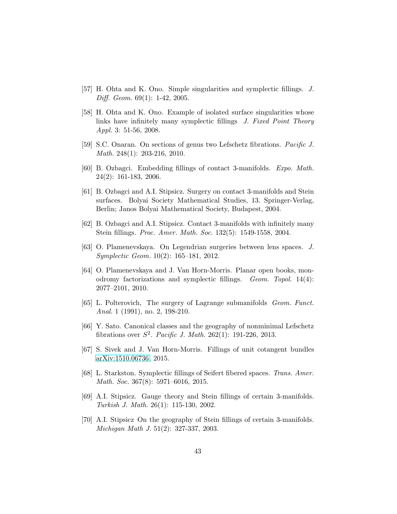- <span id="page-42-3"></span><span id="page-42-2"></span>[57] H. Ohta and K. Ono. Simple singularities and symplectic fillings. J. Diff. Geom. 69(1): 1-42, 2005.
- [58] H. Ohta and K. Ono. Example of isolated surface singularities whose links have infinitely many symplectic fillings J. Fixed Point Theory Appl. 3: 51-56, 2008.
- <span id="page-42-13"></span><span id="page-42-11"></span>[59] S.C. Onaran. On sections of genus two Lefschetz fibrations. Pacific J. Math. 248(1): 203-216, 2010.
- <span id="page-42-10"></span>[60] B. Ozbagci. Embedding fillings of contact 3-manifolds. Expo. Math. 24(2): 161-183, 2006.
- [61] B. Ozbagci and A.I. Stipsicz. Surgery on contact 3-manifolds and Stein surfaces. Bolyai Society Mathematical Studies, 13. Springer-Verlag, Berlin; Janos Bolyai Mathematical Society, Budapest, 2004.
- <span id="page-42-6"></span><span id="page-42-5"></span>[62] B. Ozbagci and A.I. Stipsicz. Contact 3-manifolds with infinitely many Stein fillings. Proc. Amer. Math. Soc. 132(5): 1549-1558, 2004.
- [63] O. Plamenevskaya. On Legendrian surgeries between lens spaces. J. Symplectic Geom. 10(2): 165–181, 2012.
- <span id="page-42-0"></span>[64] O. Plamenevskaya and J. Van Horn-Morris. Planar open books, monodromy factorizations and symplectic fillings. Geom. Topol. 14(4): 2077–2101, 2010.
- <span id="page-42-9"></span>[65] L. Polterovich, The surgery of Lagrange submanifolds Geom. Funct. Anal. 1 (1991), no. 2, 198-210.
- <span id="page-42-12"></span>[66] Y. Sato. Canonical classes and the geography of nonminimal Lefschetz fibrations over  $S^2$ . Pacific J. Math. 262(1): 191-226, 2013.
- <span id="page-42-8"></span><span id="page-42-1"></span>[67] S. Sivek and J. Van Horn-Morris. Fillings of unit cotangent bundles [arXiv:1510.06736,](http://arxiv.org/abs/1510.06736) 2015.
- [68] L. Starkston. Symplectic fillings of Seifert fibered spaces. Trans. Amer. Math. Soc. 367(8): 5971–6016, 2015.
- <span id="page-42-7"></span>[69] A.I. Stipsicz. Gauge theory and Stein fillings of certain 3-manifolds. Turkish J. Math. 26(1): 115-130, 2002.
- <span id="page-42-4"></span>[70] A.I. Stipsicz On the geography of Stein fillings of certain 3-manifolds. Michigan Math J. 51(2): 327-337, 2003.